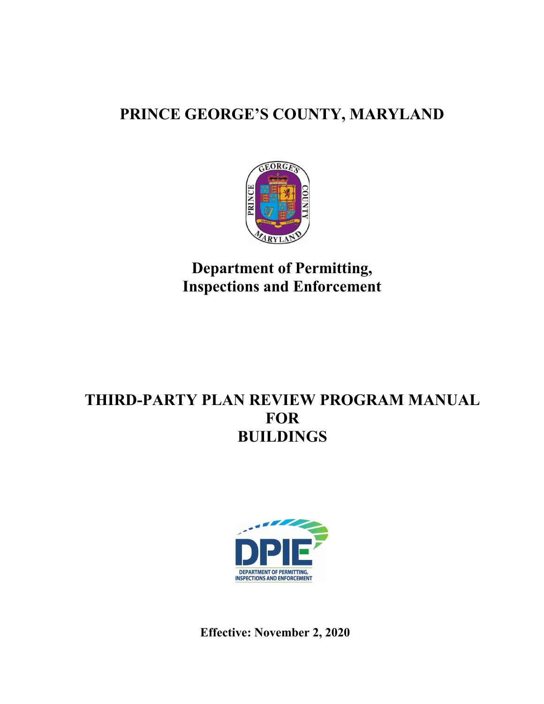# **PRINCE GEORGE'S COUNTY, MARYLAND**



**Department of Permitting, Inspections and Enforcement** 

# **THIRD-PARTY PLAN REVIEW PROGRAM MANUAL FOR BUILDINGS**



**Effective: November 2, 2020**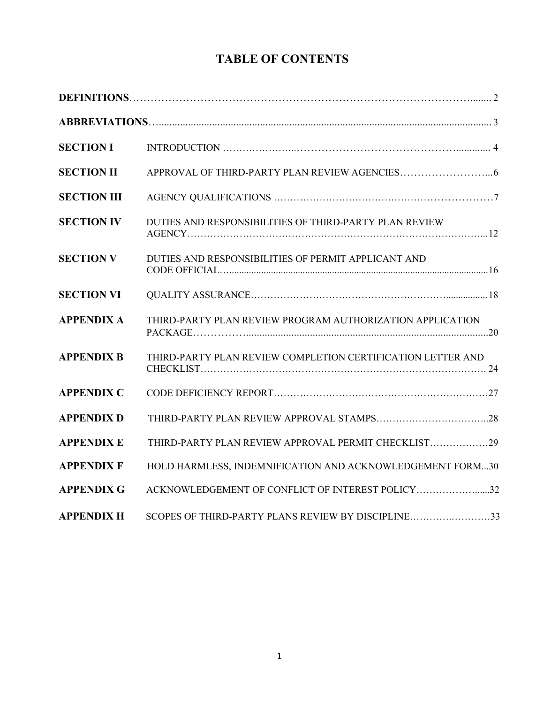# **TABLE OF CONTENTS**

| <b>SECTION I</b>   |                                                             |
|--------------------|-------------------------------------------------------------|
| <b>SECTION II</b>  |                                                             |
| <b>SECTION III</b> |                                                             |
| <b>SECTION IV</b>  | DUTIES AND RESPONSIBILITIES OF THIRD-PARTY PLAN REVIEW      |
| <b>SECTION V</b>   | DUTIES AND RESPONSIBILITIES OF PERMIT APPLICANT AND         |
| <b>SECTION VI</b>  |                                                             |
| <b>APPENDIX A</b>  | THIRD-PARTY PLAN REVIEW PROGRAM AUTHORIZATION APPLICATION   |
| <b>APPENDIX B</b>  | THIRD-PARTY PLAN REVIEW COMPLETION CERTIFICATION LETTER AND |
| <b>APPENDIX C</b>  |                                                             |
| <b>APPENDIX D</b>  |                                                             |
| <b>APPENDIX E</b>  | THIRD-PARTY PLAN REVIEW APPROVAL PERMIT CHECKLIST29         |
| <b>APPENDIX F</b>  | HOLD HARMLESS, INDEMNIFICATION AND ACKNOWLEDGEMENT FORM30   |
| <b>APPENDIX G</b>  | ACKNOWLEDGEMENT OF CONFLICT OF INTEREST POLICY32            |
| <b>APPENDIX H</b>  | SCOPES OF THIRD-PARTY PLANS REVIEW BY DISCIPLINE33          |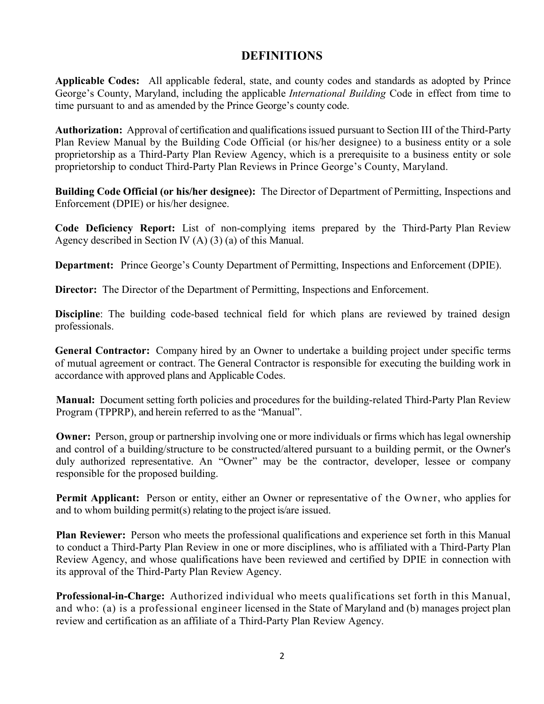# **DEFINITIONS**

**Applicable Codes:** All applicable federal, state, and county codes and standards as adopted by Prince George's County, Maryland, including the applicable *International Building* Code in effect from time to time pursuant to and as amended by the Prince George's county code.

**Authorization:** Approval of certification and qualifications issued pursuant to Section III of the Third-Party Plan Review Manual by the Building Code Official (or his/her designee) to a business entity or a sole proprietorship as a Third-Party Plan Review Agency, which is a prerequisite to a business entity or sole proprietorship to conduct Third-Party Plan Reviews in Prince George's County, Maryland.

**Building Code Official (or his/her designee):** The Director of Department of Permitting, Inspections and Enforcement (DPIE) or his/her designee.

**Code Deficiency Report:** List of non-complying items prepared by the Third-Party Plan Review Agency described in Section IV (A) (3) (a) of this Manual.

**Department:** Prince George's County Department of Permitting, Inspections and Enforcement (DPIE).

**Director:** The Director of the Department of Permitting, Inspections and Enforcement.

**Discipline**: The building code-based technical field for which plans are reviewed by trained design professionals.

**General Contractor:** Company hired by an Owner to undertake a building project under specific terms of mutual agreement or contract. The General Contractor is responsible for executing the building work in accordance with approved plans and Applicable Codes.

**Manual:** Document setting forth policies and procedures for the building-related Third-Party Plan Review Program (TPPRP), and herein referred to as the "Manual".

**Owner:** Person, group or partnership involving one or more individuals or firms which has legal ownership and control of a building/structure to be constructed/altered pursuant to a building permit, or the Owner's duly authorized representative. An "Owner" may be the contractor, developer, lessee or company responsible for the proposed building.

**Permit Applicant:** Person or entity, either an Owner or representative of the Owner, who applies for and to whom building permit(s) relating to the project is/are issued.

**Plan Reviewer:** Person who meets the professional qualifications and experience set forth in this Manual to conduct a Third-Party Plan Review in one or more disciplines, who is affiliated with a Third-Party Plan Review Agency, and whose qualifications have been reviewed and certified by DPIE in connection with its approval of the Third-Party Plan Review Agency.

**Professional-in-Charge:** Authorized individual who meets qualifications set forth in this Manual, and who: (a) is a professional engineer licensed in the State of Maryland and (b) manages project plan review and certification as an affiliate of a Third-Party Plan Review Agency.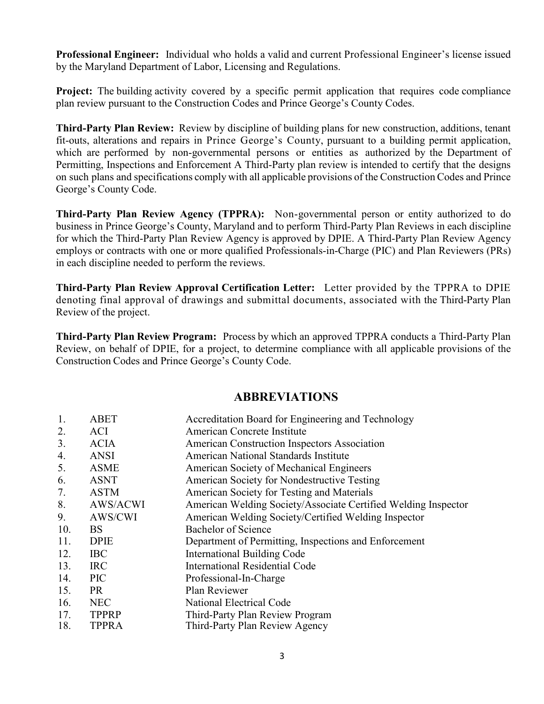**Professional Engineer:** Individual who holds a valid and current Professional Engineer's license issued by the Maryland Department of Labor, Licensing and Regulations.

**Project:** The building activity covered by a specific permit application that requires code compliance plan review pursuant to the Construction Codes and Prince George's County Codes.

**Third-Party Plan Review:** Review by discipline of building plans for new construction, additions, tenant fit-outs, alterations and repairs in Prince George's County, pursuant to a building permit application, which are performed by non-governmental persons or entities as authorized by the Department of Permitting, Inspections and Enforcement A Third-Party plan review is intended to certify that the designs on such plans and specifications comply with all applicable provisions of the Construction Codes and Prince George's County Code.

**Third-Party Plan Review Agency (TPPRA):** Non-governmental person or entity authorized to do business in Prince George's County, Maryland and to perform Third-Party Plan Reviews in each discipline for which the Third-Party Plan Review Agency is approved by DPIE. A Third-Party Plan Review Agency employs or contracts with one or more qualified Professionals-in-Charge (PIC) and Plan Reviewers (PRs) in each discipline needed to perform the reviews.

**Third-Party Plan Review Approval Certification Letter:** Letter provided by the TPPRA to DPIE denoting final approval of drawings and submittal documents, associated with the Third-Party Plan Review of the project.

**Third-Party Plan Review Program:** Process by which an approved TPPRA conducts a Third-Party Plan Review, on behalf of DPIE, for a project, to determine compliance with all applicable provisions of the Construction Codes and Prince George's County Code.

## **ABBREVIATIONS**

| 1.  | <b>ABET</b>  | Accreditation Board for Engineering and Technology             |
|-----|--------------|----------------------------------------------------------------|
| 2.  | <b>ACI</b>   | American Concrete Institute                                    |
| 3.  | <b>ACIA</b>  | American Construction Inspectors Association                   |
| 4.  | <b>ANSI</b>  | American National Standards Institute                          |
| 5.  | <b>ASME</b>  | American Society of Mechanical Engineers                       |
| 6.  | <b>ASNT</b>  | American Society for Nondestructive Testing                    |
| 7.  | <b>ASTM</b>  | American Society for Testing and Materials                     |
| 8.  | AWS/ACWI     | American Welding Society/Associate Certified Welding Inspector |
| 9.  | AWS/CWI      | American Welding Society/Certified Welding Inspector           |
| 10. | BS           | Bachelor of Science                                            |
| 11. | <b>DPIE</b>  | Department of Permitting, Inspections and Enforcement          |
| 12. | <b>IBC</b>   | International Building Code                                    |
| 13. | <b>IRC</b>   | <b>International Residential Code</b>                          |
| 14. | <b>PIC</b>   | Professional-In-Charge                                         |
| 15. | PR           | Plan Reviewer                                                  |
| 16. | <b>NEC</b>   | National Electrical Code                                       |
| 17. | <b>TPPRP</b> | Third-Party Plan Review Program                                |
| 18. | <b>TPPRA</b> | Third-Party Plan Review Agency                                 |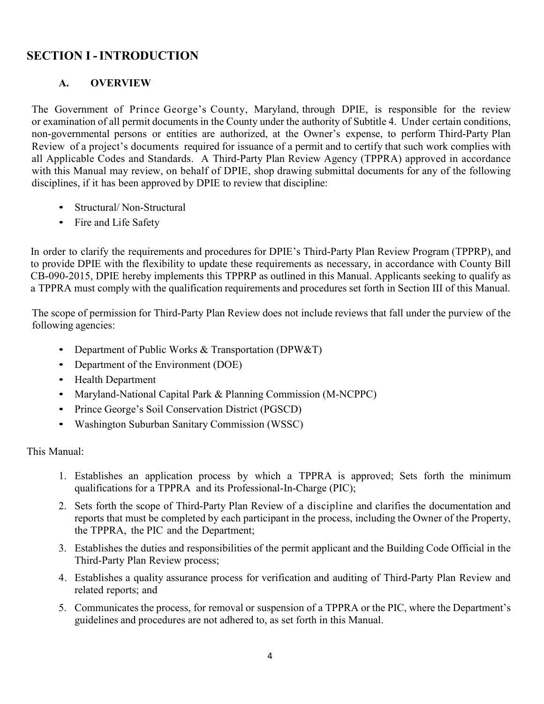# **SECTION I -INTRODUCTION**

# **A. OVERVIEW**

The Government of Prince George's County, Maryland, through DPIE, is responsible for the review or examination of all permit documents in the County under the authority of Subtitle 4. Under certain conditions, non-governmental persons or entities are authorized, at the Owner's expense, to perform Third-Party Plan Review of a project's documents required for issuance of a permit and to certify that such work complies with all Applicable Codes and Standards. A Third-Party Plan Review Agency (TPPRA) approved in accordance with this Manual may review, on behalf of DPIE, shop drawing submittal documents for any of the following disciplines, if it has been approved by DPIE to review that discipline:

- Structural/Non-Structural
- Fire and Life Safety

In order to clarify the requirements and procedures for DPIE's Third-Party Plan Review Program (TPPRP), and to provide DPIE with the flexibility to update these requirements as necessary, in accordance with County Bill CB-090-2015, DPIE hereby implements this TPPRP as outlined in this Manual. Applicants seeking to qualify as a TPPRA must comply with the qualification requirements and procedures set forth in Section III of this Manual.

The scope of permission for Third-Party Plan Review does not include reviews that fall under the purview of the following agencies:

- Department of Public Works & Transportation (DPW&T)
- Department of the Environment (DOE)
- Health Department
- Maryland-National Capital Park & Planning Commission (M-NCPPC)
- Prince George's Soil Conservation District (PGSCD)
- Washington Suburban Sanitary Commission (WSSC)

This Manual:

- 1. Establishes an application process by which a TPPRA is approved; Sets forth the minimum qualifications for a TPPRA and its Professional-In-Charge (PIC);
- 2. Sets forth the scope of Third-Party Plan Review of a discipline and clarifies the documentation and reports that must be completed by each participant in the process, including the Owner of the Property, the TPPRA, the PIC and the Department;
- 3. Establishes the duties and responsibilities of the permit applicant and the Building Code Official in the Third-Party Plan Review process;
- 4. Establishes a quality assurance process for verification and auditing of Third-Party Plan Review and related reports; and
- 5. Communicates the process, for removal or suspension of a TPPRA or the PIC, where the Department's guidelines and procedures are not adhered to, as set forth in this Manual.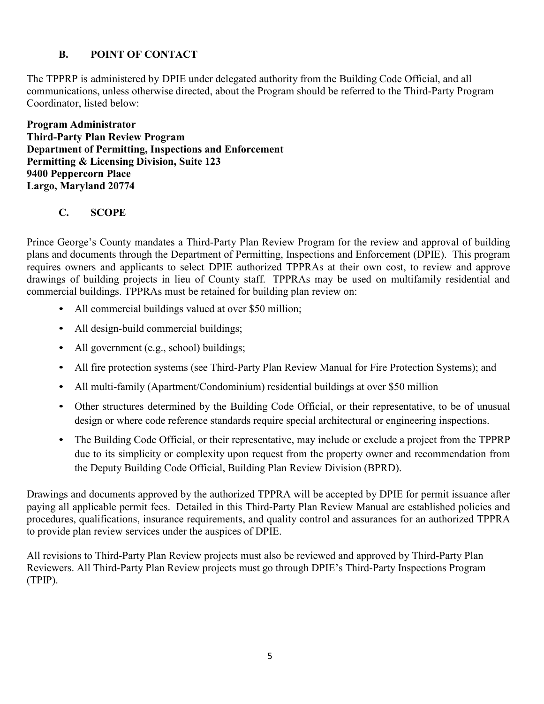# **B. POINT OF CONTACT**

The TPPRP is administered by DPIE under delegated authority from the Building Code Official, and all communications, unless otherwise directed, about the Program should be referred to the Third-Party Program Coordinator, listed below:

**Program Administrator Third-Party Plan Review Program Department of Permitting, Inspections and Enforcement Permitting & Licensing Division, Suite 123 9400 Peppercorn Place Largo, Maryland 20774**

# **C. SCOPE**

Prince George's County mandates a Third-Party Plan Review Program for the review and approval of building plans and documents through the Department of Permitting, Inspections and Enforcement (DPIE). This program requires owners and applicants to select DPIE authorized TPPRAs at their own cost, to review and approve drawings of building projects in lieu of County staff. TPPRAs may be used on multifamily residential and commercial buildings. TPPRAs must be retained for building plan review on:

- All commercial buildings valued at over \$50 million;
- All design-build commercial buildings;
- All government (e.g., school) buildings;
- All fire protection systems (see Third-Party Plan Review Manual for Fire Protection Systems); and
- All multi-family (Apartment/Condominium) residential buildings at over \$50 million
- Other structures determined by the Building Code Official, or their representative, to be of unusual design or where code reference standards require special architectural or engineering inspections.
- The Building Code Official, or their representative, may include or exclude a project from the TPPRP due to its simplicity or complexity upon request from the property owner and recommendation from the Deputy Building Code Official, Building Plan Review Division (BPRD).

Drawings and documents approved by the authorized TPPRA will be accepted by DPIE for permit issuance after paying all applicable permit fees. Detailed in this Third-Party Plan Review Manual are established policies and procedures, qualifications, insurance requirements, and quality control and assurances for an authorized TPPRA to provide plan review services under the auspices of DPIE.

All revisions to Third-Party Plan Review projects must also be reviewed and approved by Third-Party Plan Reviewers. All Third-Party Plan Review projects must go through DPIE's Third-Party Inspections Program (TPIP).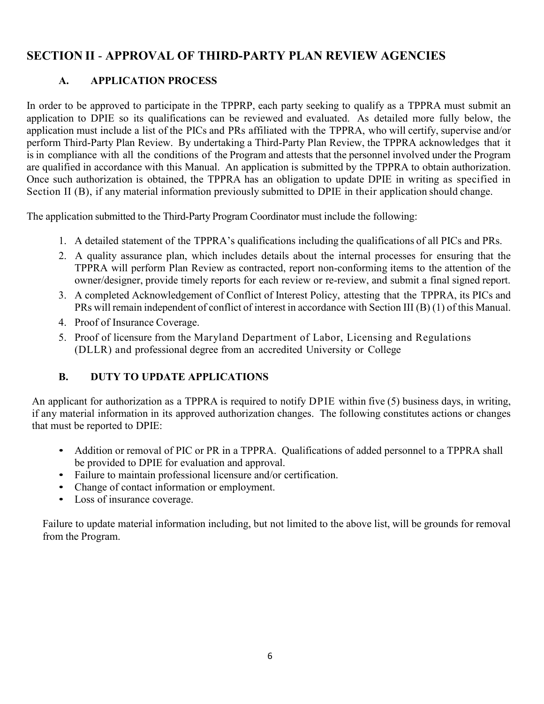# **SECTION II** - **APPROVAL OF THIRD-PARTY PLAN REVIEW AGENCIES**

# **A. APPLICATION PROCESS**

In order to be approved to participate in the TPPRP, each party seeking to qualify as a TPPRA must submit an application to DPIE so its qualifications can be reviewed and evaluated. As detailed more fully below, the application must include a list of the PICs and PRs affiliated with the TPPRA, who will certify, supervise and/or perform Third-Party Plan Review. By undertaking a Third-Party Plan Review, the TPPRA acknowledges that it is in compliance with all the conditions of the Program and attests that the personnel involved under the Program are qualified in accordance with this Manual. An application is submitted by the TPPRA to obtain authorization. Once such authorization is obtained, the TPPRA has an obligation to update DPIE in writing as specified in Section II (B), if any material information previously submitted to DPIE in their application should change.

The application submitted to the Third-Party Program Coordinator must include the following:

- 1. A detailed statement of the TPPRA's qualifications including the qualifications of all PICs and PRs.
- 2. A quality assurance plan, which includes details about the internal processes for ensuring that the TPPRA will perform Plan Review as contracted, report non-conforming items to the attention of the owner/designer, provide timely reports for each review or re-review, and submit a final signed report.
- 3. A completed Acknowledgement of Conflict of Interest Policy, attesting that the TPPRA, its PICs and PRs will remain independent of conflict of interest in accordance with Section III (B) (1) of this Manual.
- 4. Proof of Insurance Coverage.
- 5. Proof of licensure from the Maryland Department of Labor, Licensing and Regulations (DLLR) and professional degree from an accredited University or College

## **B. DUTY TO UPDATE APPLICATIONS**

An applicant for authorization as a TPPRA is required to notify DPIE within five (5) business days, in writing, if any material information in its approved authorization changes. The following constitutes actions or changes that must be reported to DPIE:

- Addition or removal of PIC or PR in a TPPRA. Qualifications of added personnel to a TPPRA shall be provided to DPIE for evaluation and approval.
- Failure to maintain professional licensure and/or certification.
- Change of contact information or employment.
- Loss of insurance coverage.

Failure to update material information including, but not limited to the above list, will be grounds for removal from the Program.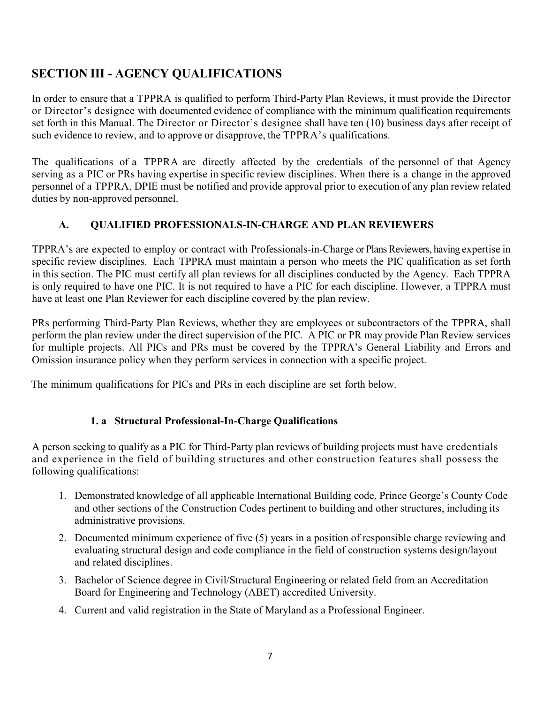# **SECTION III - AGENCY QUALIFICATIONS**

In order to ensure that a TPPRA is qualified to perform Third-Party Plan Reviews, it must provide the Director or Director's designee with documented evidence of compliance with the minimum qualification requirements set forth in this Manual. The Director or Director's designee shall have ten (10) business days after receipt of such evidence to review, and to approve or disapprove, the TPPRA's qualifications.

The qualifications of a TPPRA are directly affected by the credentials of the personnel of that Agency serving as a PIC or PRs having expertise in specific review disciplines. When there is a change in the approved personnel of a TPPRA, DPIE must be notified and provide approval prior to execution of any plan review related duties by non-approved personnel.

# **A. QUALIFIED PROFESSIONALS-IN-CHARGE AND PLAN REVIEWERS**

TPPRA's are expected to employ or contract with Professionals-in-Charge or Plans Reviewers, having expertise in specific review disciplines. Each TPPRA must maintain a person who meets the PIC qualification as set forth in this section. The PIC must certify all plan reviews for all disciplines conducted by the Agency. Each TPPRA is only required to have one PIC. It is not required to have a PIC for each discipline. However, a TPPRA must have at least one Plan Reviewer for each discipline covered by the plan review.

PRs performing Third-Party Plan Reviews, whether they are employees or subcontractors of the TPPRA, shall perform the plan review under the direct supervision of the PIC. A PIC or PR may provide Plan Review services for multiple projects. All PICs and PRs must be covered by the TPPRA's General Liability and Errors and Omission insurance policy when they perform services in connection with a specific project.

The minimum qualifications for PICs and PRs in each discipline are set forth below.

## **1. a Structural Professional-In-Charge Qualifications**

A person seeking to qualify as a PIC for Third-Party plan reviews of building projects must have credentials and experience in the field of building structures and other construction features shall possess the following qualifications:

- 1. Demonstrated knowledge of all applicable International Building code, Prince George's County Code and other sections of the Construction Codes pertinent to building and other structures, including its administrative provisions.
- 2. Documented minimum experience of five (5) years in a position of responsible charge reviewing and evaluating structural design and code compliance in the field of construction systems design/layout and related disciplines.
- 3. Bachelor of Science degree in Civil/Structural Engineering or related field from an Accreditation Board for Engineering and Technology (ABET) accredited University.
- 4. Current and valid registration in the State of Maryland as a Professional Engineer.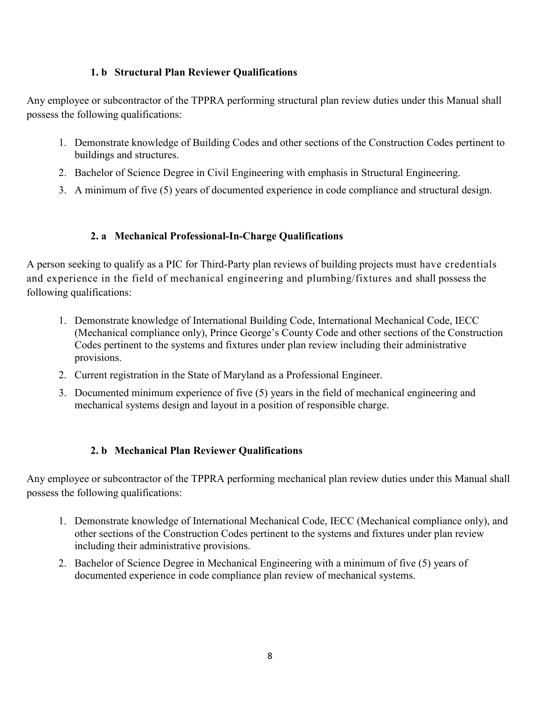### **1. b Structural Plan Reviewer Qualifications**

Any employee or subcontractor of the TPPRA performing structural plan review duties under this Manual shall possess the following qualifications:

- 1. Demonstrate knowledge of Building Codes and other sections of the Construction Codes pertinent to buildings and structures.
- 2. Bachelor of Science Degree in Civil Engineering with emphasis in Structural Engineering.
- 3. A minimum of five (5) years of documented experience in code compliance and structural design.

### **2. a Mechanical Professional-In-Charge Qualifications**

A person seeking to qualify as a PIC for Third-Party plan reviews of building projects must have credentials and experience in the field of mechanical engineering and plumbing/fixtures and shall possess the following qualifications:

- 1. Demonstrate knowledge of International Building Code, International Mechanical Code, IECC (Mechanical compliance only), Prince George's County Code and other sections of the Construction Codes pertinent to the systems and fixtures under plan review including their administrative provisions.
- 2. Current registration in the State of Maryland as a Professional Engineer.
- 3. Documented minimum experience of five (5) years in the field of mechanical engineering and mechanical systems design and layout in a position of responsible charge.

## **2. b Mechanical Plan Reviewer Qualifications**

Any employee or subcontractor of the TPPRA performing mechanical plan review duties under this Manual shall possess the following qualifications:

- 1. Demonstrate knowledge of International Mechanical Code, IECC (Mechanical compliance only), and other sections of the Construction Codes pertinent to the systems and fixtures under plan review including their administrative provisions.
- 2. Bachelor of Science Degree in Mechanical Engineering with a minimum of five (5) years of documented experience in code compliance plan review of mechanical systems.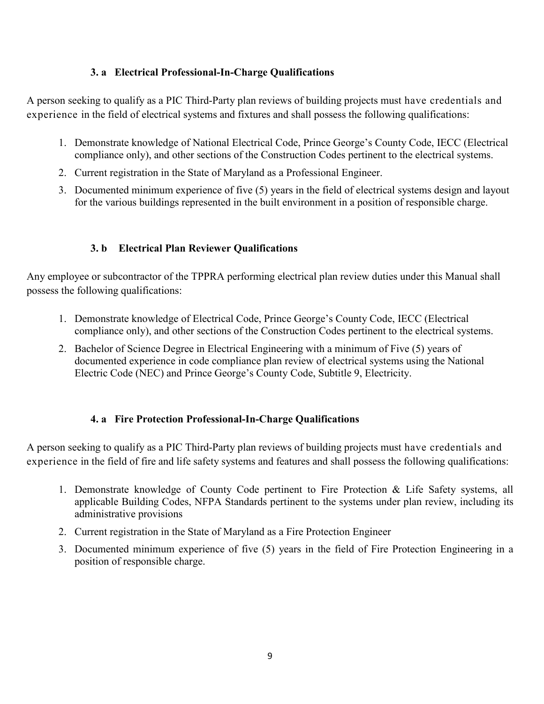### **3. a Electrical Professional-In-Charge Qualifications**

A person seeking to qualify as a PIC Third-Party plan reviews of building projects must have credentials and experience in the field of electrical systems and fixtures and shall possess the following qualifications:

- 1. Demonstrate knowledge of National Electrical Code, Prince George's County Code, IECC (Electrical compliance only), and other sections of the Construction Codes pertinent to the electrical systems.
- 2. Current registration in the State of Maryland as a Professional Engineer.
- 3. Documented minimum experience of five (5) years in the field of electrical systems design and layout for the various buildings represented in the built environment in a position of responsible charge.

## **3. b Electrical Plan Reviewer Qualifications**

Any employee or subcontractor of the TPPRA performing electrical plan review duties under this Manual shall possess the following qualifications:

- 1. Demonstrate knowledge of Electrical Code, Prince George's County Code, IECC (Electrical compliance only), and other sections of the Construction Codes pertinent to the electrical systems.
- 2. Bachelor of Science Degree in Electrical Engineering with a minimum of Five (5) years of documented experience in code compliance plan review of electrical systems using the National Electric Code (NEC) and Prince George's County Code, Subtitle 9, Electricity.

### **4. a Fire Protection Professional-In-Charge Qualifications**

A person seeking to qualify as a PIC Third-Party plan reviews of building projects must have credentials and experience in the field of fire and life safety systems and features and shall possess the following qualifications:

- 1. Demonstrate knowledge of County Code pertinent to Fire Protection & Life Safety systems, all applicable Building Codes, NFPA Standards pertinent to the systems under plan review, including its administrative provisions
- 2. Current registration in the State of Maryland as a Fire Protection Engineer
- 3. Documented minimum experience of five (5) years in the field of Fire Protection Engineering in a position of responsible charge.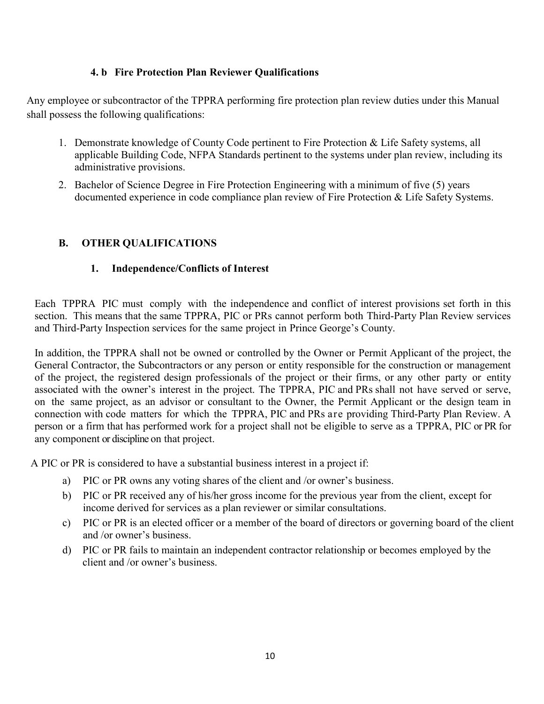### **4. b Fire Protection Plan Reviewer Qualifications**

Any employee or subcontractor of the TPPRA performing fire protection plan review duties under this Manual shall possess the following qualifications:

- 1. Demonstrate knowledge of County Code pertinent to Fire Protection & Life Safety systems, all applicable Building Code, NFPA Standards pertinent to the systems under plan review, including its administrative provisions.
- 2. Bachelor of Science Degree in Fire Protection Engineering with a minimum of five (5) years documented experience in code compliance plan review of Fire Protection & Life Safety Systems.

## **B. OTHER QUALIFICATIONS**

### **1. Independence/Conflicts of Interest**

Each TPPRA PIC must comply with the independence and conflict of interest provisions set forth in this section. This means that the same TPPRA, PIC or PRs cannot perform both Third-Party Plan Review services and Third-Party Inspection services for the same project in Prince George's County.

In addition, the TPPRA shall not be owned or controlled by the Owner or Permit Applicant of the project, the General Contractor, the Subcontractors or any person or entity responsible for the construction or management of the project, the registered design professionals of the project or their firms, or any other party or entity associated with the owner's interest in the project. The TPPRA, PIC and PRs shall not have served or serve, on the same project, as an advisor or consultant to the Owner, the Permit Applicant or the design team in connection with code matters for which the TPPRA, PIC and PRs are providing Third-Party Plan Review. A person or a firm that has performed work for a project shall not be eligible to serve as a TPPRA, PIC or PR for any component or discipline on that project.

A PIC or PR is considered to have a substantial business interest in a project if:

- a) PIC or PR owns any voting shares of the client and /or owner's business.
- b) PIC or PR received any of his/her gross income for the previous year from the client, except for income derived for services as a plan reviewer or similar consultations.
- c) PIC or PR is an elected officer or a member of the board of directors or governing board of the client and /or owner's business.
- d) PIC or PR fails to maintain an independent contractor relationship or becomes employed by the client and /or owner's business.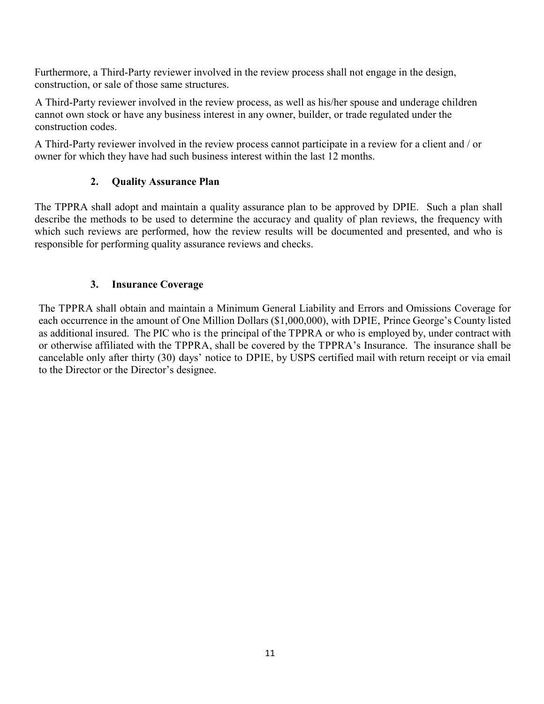Furthermore, a Third-Party reviewer involved in the review process shall not engage in the design, construction, or sale of those same structures.

A Third-Party reviewer involved in the review process, as well as his/her spouse and underage children cannot own stock or have any business interest in any owner, builder, or trade regulated under the construction codes.

A Third-Party reviewer involved in the review process cannot participate in a review for a client and / or owner for which they have had such business interest within the last 12 months.

### **2. Quality Assurance Plan**

The TPPRA shall adopt and maintain a quality assurance plan to be approved by DPIE. Such a plan shall describe the methods to be used to determine the accuracy and quality of plan reviews, the frequency with which such reviews are performed, how the review results will be documented and presented, and who is responsible for performing quality assurance reviews and checks.

### **3. Insurance Coverage**

The TPPRA shall obtain and maintain a Minimum General Liability and Errors and Omissions Coverage for each occurrence in the amount of One Million Dollars (\$1,000,000), with DPIE, Prince George's County listed as additional insured. The PIC who is the principal of the TPPRA or who is employed by, under contract with or otherwise affiliated with the TPPRA, shall be covered by the TPPRA's Insurance. The insurance shall be cancelable only after thirty (30) days' notice to DPIE, by USPS certified mail with return receipt or via email to the Director or the Director's designee.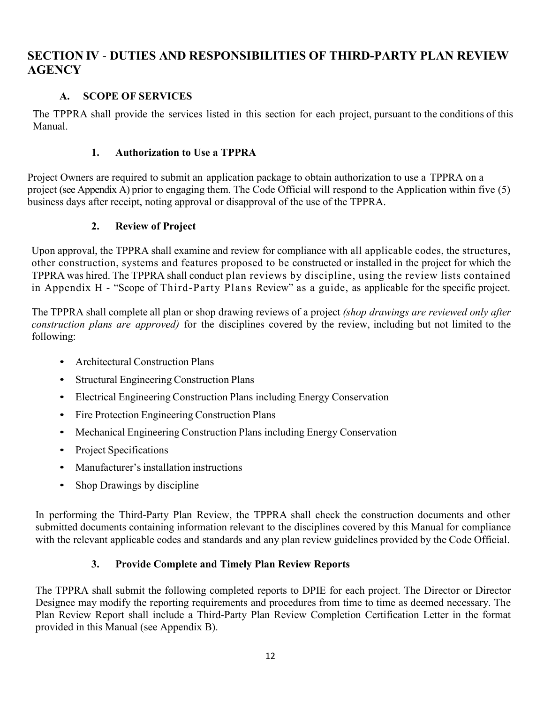# **SECTION IV** - **DUTIES AND RESPONSIBILITIES OF THIRD-PARTY PLAN REVIEW AGENCY**

### **A. SCOPE OF SERVICES**

The TPPRA shall provide the services listed in this section for each project, pursuant to the conditions of this Manual.

### **1. Authorization to Use a TPPRA**

Project Owners are required to submit an application package to obtain authorization to use a TPPRA on a project (see Appendix A) prior to engaging them. The Code Official will respond to the Application within five (5) business days after receipt, noting approval or disapproval of the use of the TPPRA.

## **2. Review of Project**

Upon approval, the TPPRA shall examine and review for compliance with all applicable codes, the structures, other construction, systems and features proposed to be constructed or installed in the project for which the TPPRA was hired. The TPPRA shall conduct plan reviews by discipline, using the review lists contained in Appendix H - "Scope of Third-Party Plans Review" as a guide, as applicable for the specific project.

The TPPRA shall complete all plan or shop drawing reviews of a project *(shop drawings are reviewed only after construction plans are approved)* for the disciplines covered by the review, including but not limited to the following:

- Architectural Construction Plans
- Structural Engineering Construction Plans
- Electrical Engineering Construction Plans including Energy Conservation
- Fire Protection Engineering Construction Plans
- Mechanical Engineering Construction Plans including Energy Conservation
- Project Specifications
- Manufacturer's installation instructions
- Shop Drawings by discipline

In performing the Third-Party Plan Review, the TPPRA shall check the construction documents and other submitted documents containing information relevant to the disciplines covered by this Manual for compliance with the relevant applicable codes and standards and any plan review guidelines provided by the Code Official.

## **3. Provide Complete and Timely Plan Review Reports**

The TPPRA shall submit the following completed reports to DPIE for each project. The Director or Director Designee may modify the reporting requirements and procedures from time to time as deemed necessary. The Plan Review Report shall include a Third-Party Plan Review Completion Certification Letter in the format provided in this Manual (see Appendix B).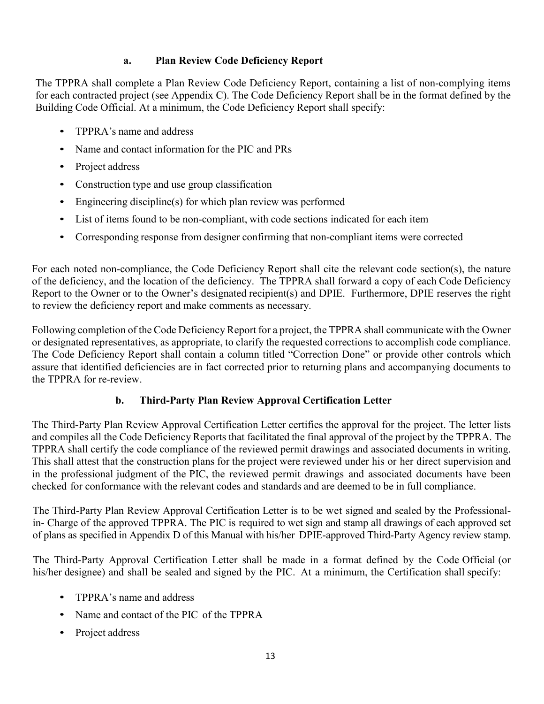### **a. Plan Review Code Deficiency Report**

The TPPRA shall complete a Plan Review Code Deficiency Report, containing a list of non-complying items for each contracted project (see Appendix C). The Code Deficiency Report shall be in the format defined by the Building Code Official. At a minimum, the Code Deficiency Report shall specify:

- TPPRA's name and address
- Name and contact information for the PIC and PRs
- Project address
- Construction type and use group classification
- Engineering discipline(s) for which plan review was performed
- List of items found to be non-compliant, with code sections indicated for each item
- Corresponding response from designer confirming that non-compliant items were corrected

For each noted non-compliance, the Code Deficiency Report shall cite the relevant code section(s), the nature of the deficiency, and the location of the deficiency. The TPPRA shall forward a copy of each Code Deficiency Report to the Owner or to the Owner's designated recipient(s) and DPIE. Furthermore, DPIE reserves the right to review the deficiency report and make comments as necessary.

Following completion of the Code Deficiency Report for a project, the TPPRA shall communicate with the Owner or designated representatives, as appropriate, to clarify the requested corrections to accomplish code compliance. The Code Deficiency Report shall contain a column titled "Correction Done" or provide other controls which assure that identified deficiencies are in fact corrected prior to returning plans and accompanying documents to the TPPRA for re-review.

### **b. Third-Party Plan Review Approval Certification Letter**

The Third-Party Plan Review Approval Certification Letter certifies the approval for the project. The letter lists and compiles all the Code Deficiency Reports that facilitated the final approval of the project by the TPPRA. The TPPRA shall certify the code compliance of the reviewed permit drawings and associated documents in writing. This shall attest that the construction plans for the project were reviewed under his or her direct supervision and in the professional judgment of the PIC, the reviewed permit drawings and associated documents have been checked for conformance with the relevant codes and standards and are deemed to be in full compliance.

The Third-Party Plan Review Approval Certification Letter is to be wet signed and sealed by the Professionalin- Charge of the approved TPPRA. The PIC is required to wet sign and stamp all drawings of each approved set of plans as specified in Appendix D of this Manual with his/her DPIE-approved Third-Party Agency review stamp.

The Third-Party Approval Certification Letter shall be made in a format defined by the Code Official (or his/her designee) and shall be sealed and signed by the PIC. At a minimum, the Certification shall specify:

- TPPRA's name and address
- Name and contact of the PIC of the TPPRA
- Project address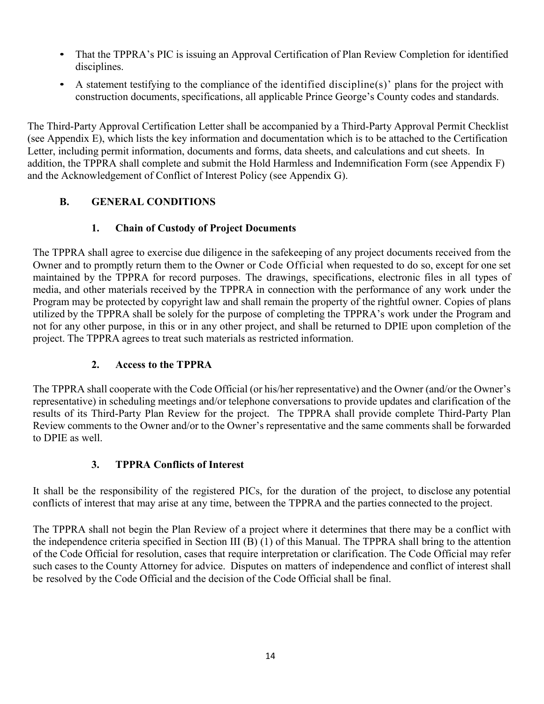- That the TPPRA's PIC is issuing an Approval Certification of Plan Review Completion for identified disciplines.
- A statement testifying to the compliance of the identified discipline(s)' plans for the project with construction documents, specifications, all applicable Prince George's County codes and standards.

The Third-Party Approval Certification Letter shall be accompanied by a Third-Party Approval Permit Checklist (see Appendix E), which lists the key information and documentation which is to be attached to the Certification Letter, including permit information, documents and forms, data sheets, and calculations and cut sheets. In addition, the TPPRA shall complete and submit the Hold Harmless and Indemnification Form (see Appendix F) and the Acknowledgement of Conflict of Interest Policy (see Appendix G).

# **B. GENERAL CONDITIONS**

# **1. Chain of Custody of Project Documents**

The TPPRA shall agree to exercise due diligence in the safekeeping of any project documents received from the Owner and to promptly return them to the Owner or Code Official when requested to do so, except for one set maintained by the TPPRA for record purposes. The drawings, specifications, electronic files in all types of media, and other materials received by the TPPRA in connection with the performance of any work under the Program may be protected by copyright law and shall remain the property of the rightful owner. Copies of plans utilized by the TPPRA shall be solely for the purpose of completing the TPPRA's work under the Program and not for any other purpose, in this or in any other project, and shall be returned to DPIE upon completion of the project. The TPPRA agrees to treat such materials as restricted information.

## **2. Access to the TPPRA**

The TPPRA shall cooperate with the Code Official (or his/her representative) and the Owner (and/or the Owner's representative) in scheduling meetings and/or telephone conversations to provide updates and clarification of the results of its Third-Party Plan Review for the project. The TPPRA shall provide complete Third-Party Plan Review comments to the Owner and/or to the Owner's representative and the same comments shall be forwarded to DPIE as well.

## **3. TPPRA Conflicts of Interest**

It shall be the responsibility of the registered PICs, for the duration of the project, to disclose any potential conflicts of interest that may arise at any time, between the TPPRA and the parties connected to the project.

The TPPRA shall not begin the Plan Review of a project where it determines that there may be a conflict with the independence criteria specified in Section III (B) (1) of this Manual. The TPPRA shall bring to the attention of the Code Official for resolution, cases that require interpretation or clarification. The Code Official may refer such cases to the County Attorney for advice. Disputes on matters of independence and conflict of interest shall be resolved by the Code Official and the decision of the Code Official shall be final.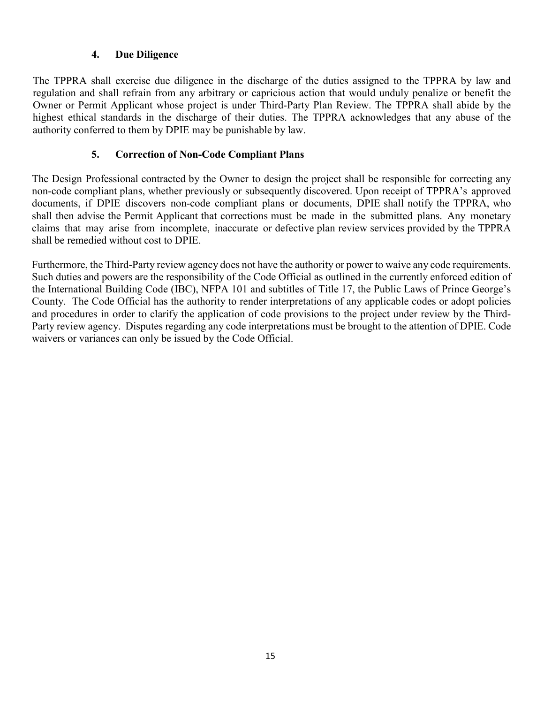### **4. Due Diligence**

The TPPRA shall exercise due diligence in the discharge of the duties assigned to the TPPRA by law and regulation and shall refrain from any arbitrary or capricious action that would unduly penalize or benefit the Owner or Permit Applicant whose project is under Third-Party Plan Review. The TPPRA shall abide by the highest ethical standards in the discharge of their duties. The TPPRA acknowledges that any abuse of the authority conferred to them by DPIE may be punishable by law.

### **5. Correction of Non-Code Compliant Plans**

The Design Professional contracted by the Owner to design the project shall be responsible for correcting any non-code compliant plans, whether previously or subsequently discovered. Upon receipt of TPPRA's approved documents, if DPIE discovers non-code compliant plans or documents, DPIE shall notify the TPPRA, who shall then advise the Permit Applicant that corrections must be made in the submitted plans. Any monetary claims that may arise from incomplete, inaccurate or defective plan review services provided by the TPPRA shall be remedied without cost to DPIE.

Furthermore, the Third-Party review agency does not have the authority or power to waive any code requirements. Such duties and powers are the responsibility of the Code Official as outlined in the currently enforced edition of the International Building Code (IBC), NFPA 101 and subtitles of Title 17, the Public Laws of Prince George's County. The Code Official has the authority to render interpretations of any applicable codes or adopt policies and procedures in order to clarify the application of code provisions to the project under review by the Third-Party review agency. Disputes regarding any code interpretations must be brought to the attention of DPIE. Code waivers or variances can only be issued by the Code Official.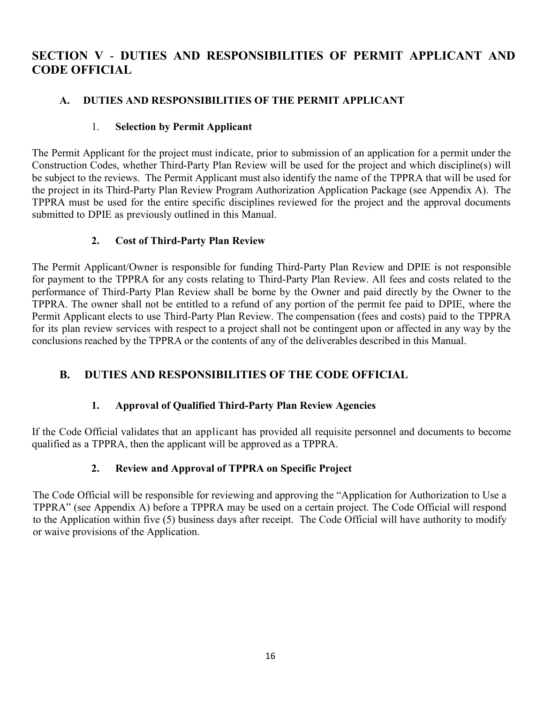# **SECTION V** - **DUTIES AND RESPONSIBILITIES OF PERMIT APPLICANT AND CODE OFFICIAL**

## **A. DUTIES AND RESPONSIBILITIES OF THE PERMIT APPLICANT**

### 1. **Selection by Permit Applicant**

The Permit Applicant for the project must indicate, prior to submission of an application for a permit under the Construction Codes, whether Third-Party Plan Review will be used for the project and which discipline(s) will be subject to the reviews. The Permit Applicant must also identify the name of the TPPRA that will be used for the project in its Third-Party Plan Review Program Authorization Application Package (see Appendix A). The TPPRA must be used for the entire specific disciplines reviewed for the project and the approval documents submitted to DPIE as previously outlined in this Manual.

### **2. Cost of Third-Party Plan Review**

The Permit Applicant/Owner is responsible for funding Third-Party Plan Review and DPIE is not responsible for payment to the TPPRA for any costs relating to Third-Party Plan Review. All fees and costs related to the performance of Third-Party Plan Review shall be borne by the Owner and paid directly by the Owner to the TPPRA. The owner shall not be entitled to a refund of any portion of the permit fee paid to DPIE, where the Permit Applicant elects to use Third-Party Plan Review. The compensation (fees and costs) paid to the TPPRA for its plan review services with respect to a project shall not be contingent upon or affected in any way by the conclusions reached by the TPPRA or the contents of any of the deliverables described in this Manual.

# **B. DUTIES AND RESPONSIBILITIES OF THE CODE OFFICIAL**

## **1. Approval of Qualified Third-Party Plan Review Agencies**

If the Code Official validates that an applicant has provided all requisite personnel and documents to become qualified as a TPPRA, then the applicant will be approved as a TPPRA.

## **2. Review and Approval of TPPRA on Specific Project**

The Code Official will be responsible for reviewing and approving the "Application for Authorization to Use a TPPRA" (see Appendix A) before a TPPRA may be used on a certain project. The Code Official will respond to the Application within five (5) business days after receipt. The Code Official will have authority to modify or waive provisions of the Application.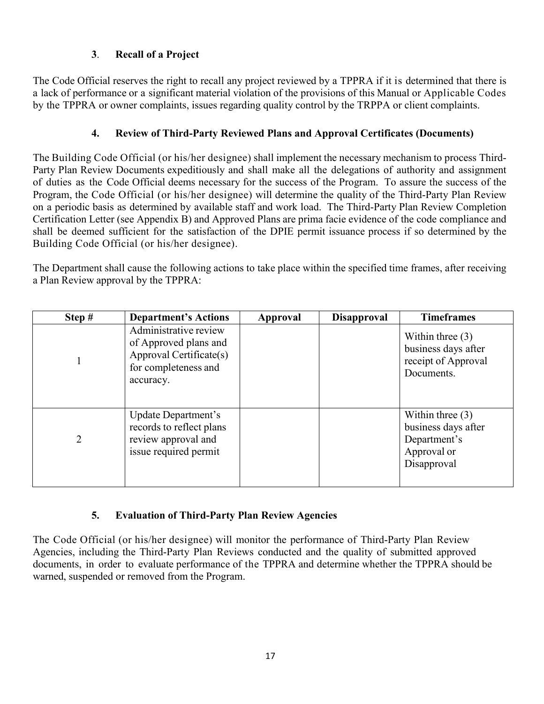# **3**. **Recall of a Project**

The Code Official reserves the right to recall any project reviewed by a TPPRA if it is determined that there is a lack of performance or a significant material violation of the provisions of this Manual or Applicable Codes by the TPPRA or owner complaints, issues regarding quality control by the TRPPA or client complaints.

# **4. Review of Third-Party Reviewed Plans and Approval Certificates (Documents)**

The Building Code Official (or his/her designee) shall implement the necessary mechanism to process Third-Party Plan Review Documents expeditiously and shall make all the delegations of authority and assignment of duties as the Code Official deems necessary for the success of the Program. To assure the success of the Program, the Code Official (or his/her designee) will determine the quality of the Third-Party Plan Review on a periodic basis as determined by available staff and work load. The Third-Party Plan Review Completion Certification Letter (see Appendix B) and Approved Plans are prima facie evidence of the code compliance and shall be deemed sufficient for the satisfaction of the DPIE permit issuance process if so determined by the Building Code Official (or his/her designee).

The Department shall cause the following actions to take place within the specified time frames, after receiving a Plan Review approval by the TPPRA:

| Step #         | <b>Department's Actions</b>                                                                                    | Approval | <b>Disapproval</b> | <b>Timeframes</b>                                                                       |
|----------------|----------------------------------------------------------------------------------------------------------------|----------|--------------------|-----------------------------------------------------------------------------------------|
|                | Administrative review<br>of Approved plans and<br>Approval Certificate(s)<br>for completeness and<br>accuracy. |          |                    | Within three $(3)$<br>business days after<br>receipt of Approval<br>Documents.          |
| $\overline{2}$ | Update Department's<br>records to reflect plans<br>review approval and<br>issue required permit                |          |                    | Within three $(3)$<br>business days after<br>Department's<br>Approval or<br>Disapproval |

## **5. Evaluation of Third-Party Plan Review Agencies**

The Code Official (or his/her designee) will monitor the performance of Third-Party Plan Review Agencies, including the Third-Party Plan Reviews conducted and the quality of submitted approved documents, in order to evaluate performance of the TPPRA and determine whether the TPPRA should be warned, suspended or removed from the Program.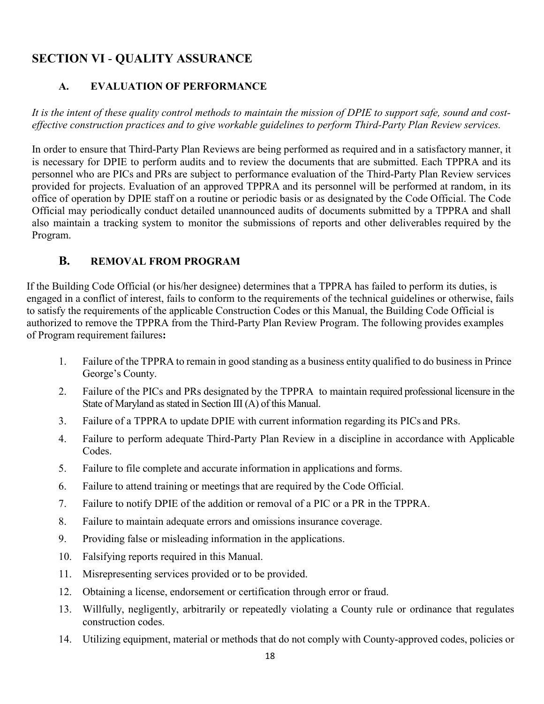# **SECTION VI** - **QUALITY ASSURANCE**

# **A. EVALUATION OF PERFORMANCE**

*It is the intent of these quality control methods to maintain the mission of DPIE to support safe, sound and costeffective construction practices and to give workable guidelines to perform Third-Party Plan Review services.*

In order to ensure that Third-Party Plan Reviews are being performed as required and in a satisfactory manner, it is necessary for DPIE to perform audits and to review the documents that are submitted. Each TPPRA and its personnel who are PICs and PRs are subject to performance evaluation of the Third-Party Plan Review services provided for projects. Evaluation of an approved TPPRA and its personnel will be performed at random, in its office of operation by DPIE staff on a routine or periodic basis or as designated by the Code Official. The Code Official may periodically conduct detailed unannounced audits of documents submitted by a TPPRA and shall also maintain a tracking system to monitor the submissions of reports and other deliverables required by the Program.

## **B. REMOVAL FROM PROGRAM**

If the Building Code Official (or his/her designee) determines that a TPPRA has failed to perform its duties, is engaged in a conflict of interest, fails to conform to the requirements of the technical guidelines or otherwise, fails to satisfy the requirements of the applicable Construction Codes or this Manual, the Building Code Official is authorized to remove the TPPRA from the Third-Party Plan Review Program. The following provides examples of Program requirement failures**:**

- 1. Failure of the TPPRA to remain in good standing as a business entity qualified to do business in Prince George's County.
- 2. Failure of the PICs and PRs designated by the TPPRA to maintain required professional licensure in the State of Maryland as stated in Section III (A) of this Manual.
- 3. Failure of a TPPRA to update DPIE with current information regarding its PICs and PRs.
- 4. Failure to perform adequate Third-Party Plan Review in a discipline in accordance with Applicable Codes.
- 5. Failure to file complete and accurate information in applications and forms.
- 6. Failure to attend training or meetings that are required by the Code Official.
- 7. Failure to notify DPIE of the addition or removal of a PIC or a PR in the TPPRA.
- 8. Failure to maintain adequate errors and omissions insurance coverage.
- 9. Providing false or misleading information in the applications.
- 10. Falsifying reports required in this Manual.
- 11. Misrepresenting services provided or to be provided.
- 12. Obtaining a license, endorsement or certification through error or fraud.
- 13. Willfully, negligently, arbitrarily or repeatedly violating a County rule or ordinance that regulates construction codes.
- 14. Utilizing equipment, material or methods that do not comply with County-approved codes, policies or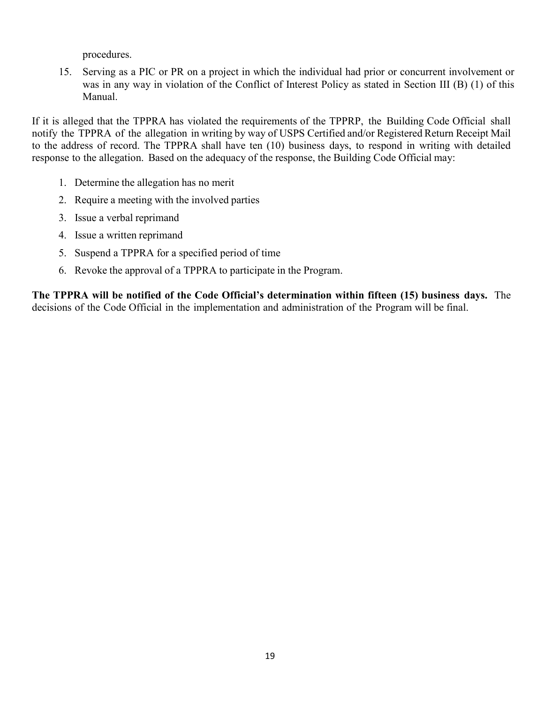procedures.

15. Serving as a PIC or PR on a project in which the individual had prior or concurrent involvement or was in any way in violation of the Conflict of Interest Policy as stated in Section III (B) (1) of this Manual.

If it is alleged that the TPPRA has violated the requirements of the TPPRP, the Building Code Official shall notify the TPPRA of the allegation in writing by way of USPS Certified and/or Registered Return Receipt Mail to the address of record. The TPPRA shall have ten (10) business days, to respond in writing with detailed response to the allegation. Based on the adequacy of the response, the Building Code Official may:

- 1. Determine the allegation has no merit
- 2. Require a meeting with the involved parties
- 3. Issue a verbal reprimand
- 4. Issue a written reprimand
- 5. Suspend a TPPRA for a specified period of time
- 6. Revoke the approval of a TPPRA to participate in the Program.

**The TPPRA will be notified of the Code Official's determination within fifteen (15) business days.** The decisions of the Code Official in the implementation and administration of the Program will be final.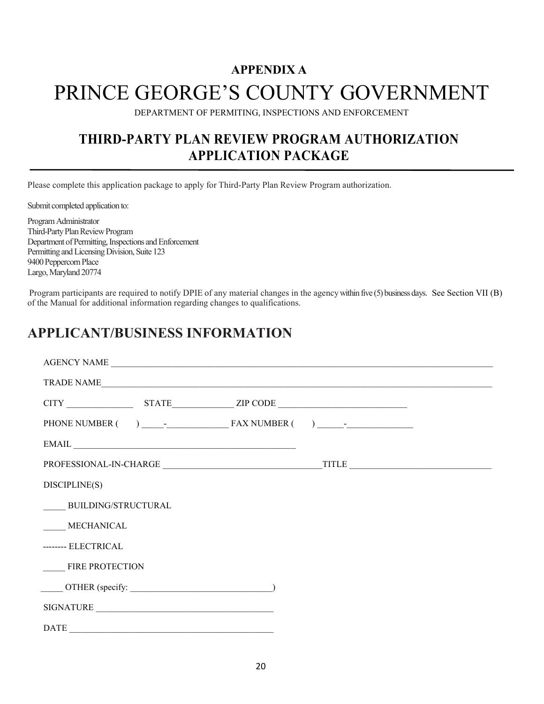# **APPENDIX A** PRINCE GEORGE'S COUNTY GOVERNMENT

DEPARTMENT OF PERMITING, INSPECTIONS AND ENFORCEMENT

# **THIRD-PARTY PLAN REVIEW PROGRAM AUTHORIZATION APPLICATION PACKAGE**

Please complete this application package to apply for Third-Party Plan Review Program authorization.

Submit completed application to:

Program Administrator Third-Party Plan Review Program Department of Permitting, Inspections and Enforcement Permitting and Licensing Division, Suite 123 9400 Peppercorn Place Largo, Maryland 20774

Program participants are required to notify DPIE of any material changes in the agency within five (5) business days. See Section VII (B) of the Manual for additional information regarding changes to qualifications.

# **APPLICANT/BUSINESS INFORMATION**

| AGENCY NAME                                                     |  |            |  |  |
|-----------------------------------------------------------------|--|------------|--|--|
|                                                                 |  | TRADE NAME |  |  |
|                                                                 |  |            |  |  |
|                                                                 |  |            |  |  |
|                                                                 |  | EMAIL      |  |  |
|                                                                 |  |            |  |  |
| DISCIPLINE(S)                                                   |  |            |  |  |
| BUILDING/STRUCTURAL                                             |  |            |  |  |
| <b>MECHANICAL</b>                                               |  |            |  |  |
| -------- ELECTRICAL                                             |  |            |  |  |
| <b>FIRE PROTECTION</b>                                          |  |            |  |  |
| $\overline{\text{OTHER}}$ (specify: $\overline{\text{OTHER}}$ ) |  |            |  |  |
| SIGNATURE                                                       |  |            |  |  |
| DATE                                                            |  |            |  |  |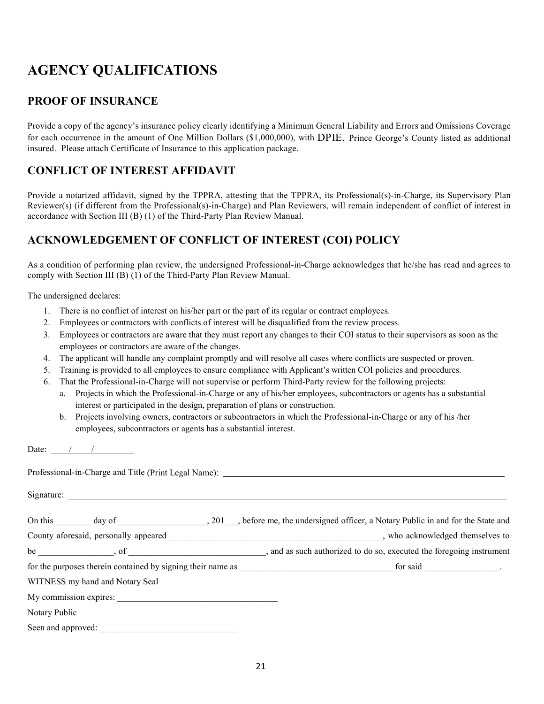# **AGENCY QUALIFICATIONS**

# **PROOF OF INSURANCE**

Provide a copy of the agency's insurance policy clearly identifying a Minimum General Liability and Errors and Omissions Coverage for each occurrence in the amount of One Million Dollars (\$1,000,000), with DPIE, Prince George's County listed as additional insured. Please attach Certificate of Insurance to this application package.

# **CONFLICT OF INTEREST AFFIDAVIT**

Provide a notarized affidavit, signed by the TPPRA, attesting that the TPPRA, its Professional(s)-in-Charge, its Supervisory Plan Reviewer(s) (if different from the Professional(s)-in-Charge) and Plan Reviewers, will remain independent of conflict of interest in accordance with Section III (B) (1) of the Third-Party Plan Review Manual.

# **ACKNOWLEDGEMENT OF CONFLICT OF INTEREST (COI) POLICY**

As a condition of performing plan review, the undersigned Professional-in-Charge acknowledges that he/she has read and agrees to comply with Section III (B) (1) of the Third-Party Plan Review Manual.

The undersigned declares:

- 1. There is no conflict of interest on his/her part or the part of its regular or contract employees.
- 2. Employees or contractors with conflicts of interest will be disqualified from the review process.
- 3. Employees or contractors are aware that they must report any changes to their COI status to their supervisors as soon as the employees or contractors are aware of the changes.
- 4. The applicant will handle any complaint promptly and will resolve all cases where conflicts are suspected or proven.
- 5. Training is provided to all employees to ensure compliance with Applicant's written COI policies and procedures.
- 6. That the Professional-in-Charge will not supervise or perform Third-Party review for the following projects:
	- a. Projects in which the Professional-in-Charge or any of his/her employees, subcontractors or agents has a substantial interest or participated in the design, preparation of plans or construction.
	- b. Projects involving owners, contractors or subcontractors in which the Professional-in-Charge or any of his /her employees, subcontractors or agents has a substantial interest.

Date:  $\frac{1}{2}$  / /  $\frac{1}{2}$ 

|                                 | be such authorized to do so, executed the foregoing instrument |
|---------------------------------|----------------------------------------------------------------|
|                                 |                                                                |
| WITNESS my hand and Notary Seal |                                                                |
|                                 |                                                                |
| Notary Public                   |                                                                |
| Seen and approved:              |                                                                |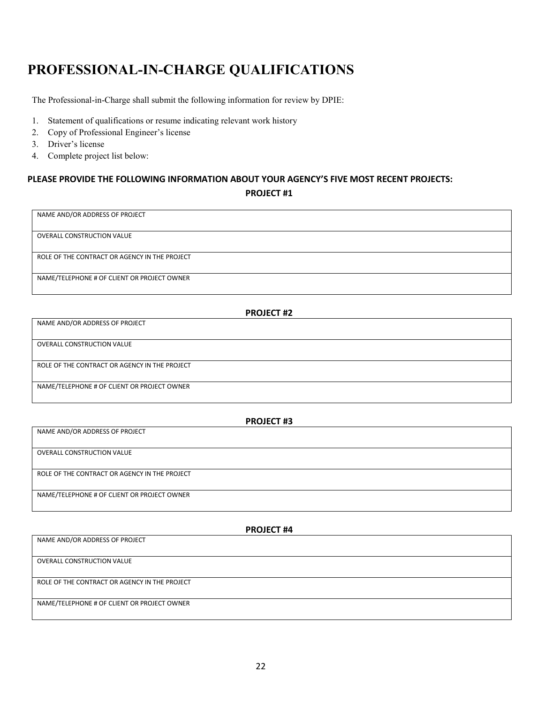# **PROFESSIONAL-IN-CHARGE QUALIFICATIONS**

The Professional-in-Charge shall submit the following information for review by DPIE:

- 1. Statement of qualifications or resume indicating relevant work history
- 2. Copy of Professional Engineer's license
- 3. Driver's license
- 4. Complete project list below:

### **PLEASE PROVIDE THE FOLLOWING INFORMATION ABOUT YOUR AGENCY'S FIVE MOST RECENT PROJECTS: PROJECT #1**

OVERALL CONSTRUCTION VALUE

NAME AND/OR ADDRESS OF PROJECT

ROLE OF THE CONTRACT OR AGENCY IN THE PROJECT

NAME/TELEPHONE # OF CLIENT OR PROJECT OWNER

| <b>PROJECT #2</b>                             |  |  |
|-----------------------------------------------|--|--|
| NAME AND/OR ADDRESS OF PROJECT                |  |  |
|                                               |  |  |
| <b>OVERALL CONSTRUCTION VALUE</b>             |  |  |
|                                               |  |  |
| ROLE OF THE CONTRACT OR AGENCY IN THE PROJECT |  |  |
|                                               |  |  |
| NAME/TELEPHONE # OF CLIENT OR PROJECT OWNER   |  |  |
|                                               |  |  |

| <b>PROJECT #3</b>                             |  |  |
|-----------------------------------------------|--|--|
| NAME AND/OR ADDRESS OF PROJECT                |  |  |
|                                               |  |  |
| <b>OVERALL CONSTRUCTION VALUE</b>             |  |  |
|                                               |  |  |
| ROLE OF THE CONTRACT OR AGENCY IN THE PROJECT |  |  |
|                                               |  |  |
| NAME/TELEPHONE # OF CLIENT OR PROJECT OWNER   |  |  |
|                                               |  |  |

# **PROJECT #4** NAME AND/OR ADDRESS OF PROJECT OVERALL CONSTRUCTION VALUE ROLE OF THE CONTRACT OR AGENCY IN THE PROJECT NAME/TELEPHONE # OF CLIENT OR PROJECT OWNER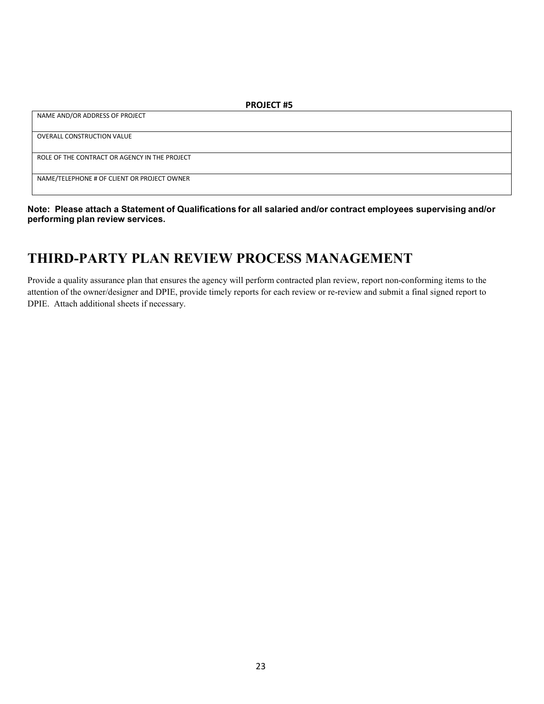**Note: Please attach a Statement of Qualifications for all salaried and/or contract employees supervising and/or performing plan review services.**

# **THIRD-PARTY PLAN REVIEW PROCESS MANAGEMENT**

Provide a quality assurance plan that ensures the agency will perform contracted plan review, report non-conforming items to the attention of the owner/designer and DPIE, provide timely reports for each review or re-review and submit a final signed report to DPIE. Attach additional sheets if necessary.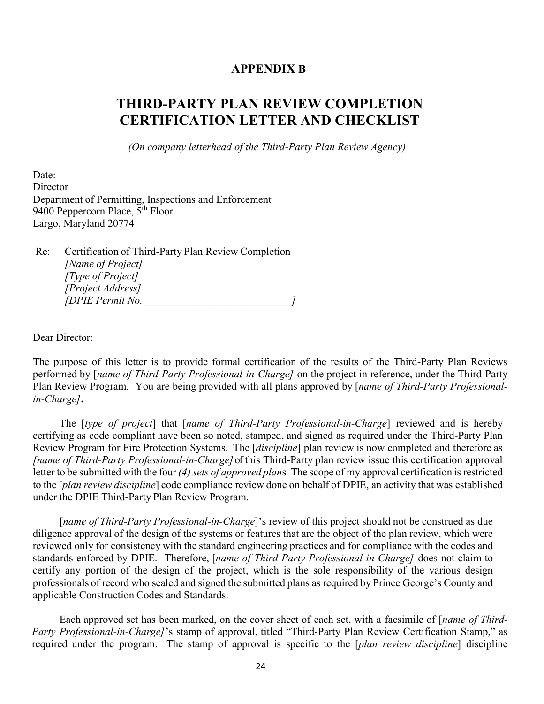### **APPENDIX B**

# **THIRD-PARTY PLAN REVIEW COMPLETION CERTIFICATION LETTER AND CHECKLIST**

*(On company letterhead of the Third-Party Plan Review Agency)*

Date: **Director** Department of Permitting, Inspections and Enforcement 9400 Peppercorn Place, 5<sup>th</sup> Floor Largo, Maryland 20774

Re: Certification of Third-Party Plan Review Completion *[Name of Project] [Type of Project] [Project Address] [DPIE Permit No. \_\_\_\_\_\_\_\_\_\_\_\_\_\_\_\_\_\_\_\_\_\_\_\_\_\_\_ ]*

Dear Director:

The purpose of this letter is to provide formal certification of the results of the Third-Party Plan Reviews performed by [*name of Third-Party Professional-in-Charge]* on the project in reference, under the Third-Party Plan Review Program. You are being provided with all plans approved by [*name of Third-Party Professionalin-Charge]***.**

The [*type of project*] that [*name of Third-Party Professional-in-Charge*] reviewed and is hereby certifying as code compliant have been so noted, stamped, and signed as required under the Third-Party Plan Review Program for Fire Protection Systems. The [*discipline*] plan review is now completed and therefore as *[name of Third-Party Professional-in-Charge]* of this Third-Party plan review issue this certification approval letter to be submitted with the four (4) sets of approved plans. The scope of my approval certification is restricted to the [*plan review discipline*] code compliance review done on behalf of DPIE, an activity that was established under the DPIE Third-Party Plan Review Program.

[*name of Third-Party Professional-in-Charge*]'s review of this project should not be construed as due diligence approval of the design of the systems or features that are the object of the plan review, which were reviewed only for consistency with the standard engineering practices and for compliance with the codes and standards enforced by DPIE. Therefore, [*name of Third-Party Professional-in-Charge]* does not claim to certify any portion of the design of the project, which is the sole responsibility of the various design professionals of record who sealed and signed the submitted plans as required by Prince George's County and applicable Construction Codes and Standards.

Each approved set has been marked, on the cover sheet of each set, with a facsimile of [*name of Third-Party Professional-in-Charge]*'s stamp of approval, titled "Third-Party Plan Review Certification Stamp," as required under the program. The stamp of approval is specific to the [*plan review discipline*] discipline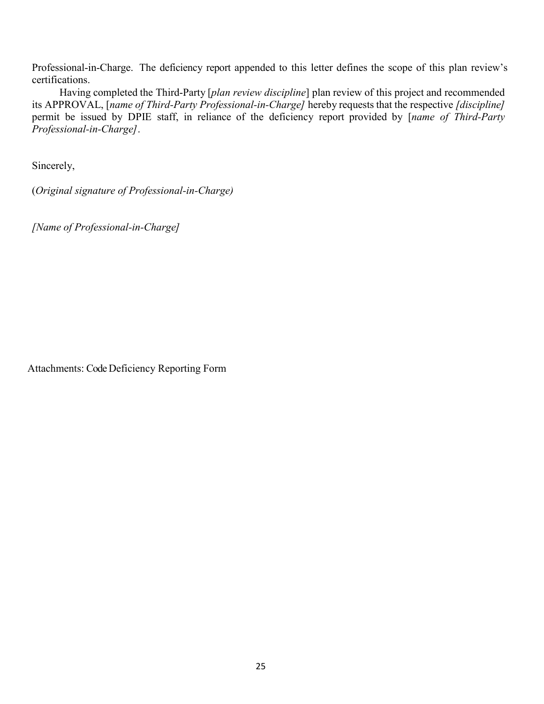Professional-in-Charge. The deficiency report appended to this letter defines the scope of this plan review's certifications.

Having completed the Third-Party [*plan review discipline*] plan review of this project and recommended its APPROVAL, [*name of Third-Party Professional-in-Charge]* hereby requests that the respective *[discipline]*  permit be issued by DPIE staff, in reliance of the deficiency report provided by [*name of Third-Party Professional-in-Charge]*.

Sincerely,

(*Original signature of Professional-in-Charge)*

*[Name of Professional-in-Charge]*

Attachments: Code Deficiency Reporting Form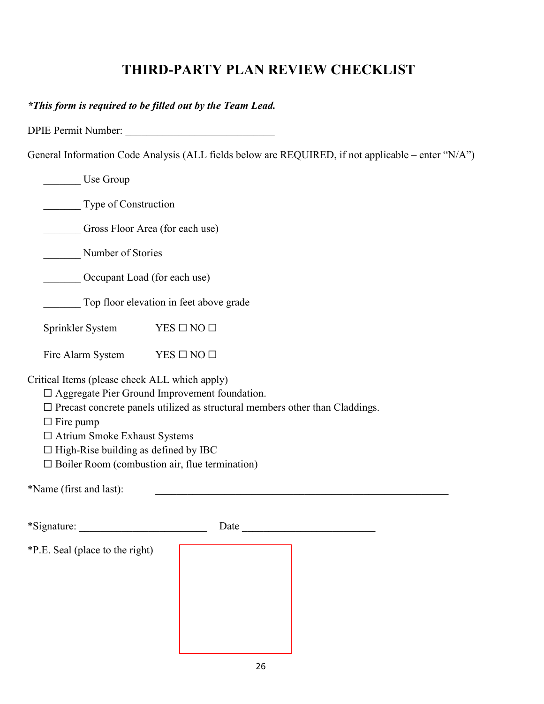# **THIRD-PARTY PLAN REVIEW CHECKLIST**

*\*This form is required to be filled out by the Team Lead.*

DPIE Permit Number: \_\_\_\_\_\_\_\_\_\_\_\_\_\_\_\_\_\_\_\_\_\_\_\_\_\_\_\_

General Information Code Analysis (ALL fields below are REQUIRED, if not applicable – enter "N/A")

| Use Group                                                                                                                                                                     |                                                                                                                                                                                                                                |  |  |  |
|-------------------------------------------------------------------------------------------------------------------------------------------------------------------------------|--------------------------------------------------------------------------------------------------------------------------------------------------------------------------------------------------------------------------------|--|--|--|
| Type of Construction                                                                                                                                                          |                                                                                                                                                                                                                                |  |  |  |
| Gross Floor Area (for each use)                                                                                                                                               |                                                                                                                                                                                                                                |  |  |  |
| Number of Stories                                                                                                                                                             |                                                                                                                                                                                                                                |  |  |  |
| Occupant Load (for each use)                                                                                                                                                  |                                                                                                                                                                                                                                |  |  |  |
|                                                                                                                                                                               | Top floor elevation in feet above grade                                                                                                                                                                                        |  |  |  |
| Sprinkler System                                                                                                                                                              | $YES \Box NO \Box$                                                                                                                                                                                                             |  |  |  |
| Fire Alarm System                                                                                                                                                             | $YES \Box NO \Box$                                                                                                                                                                                                             |  |  |  |
| Critical Items (please check ALL which apply)<br>$\Box$ Fire pump<br>□ Atrium Smoke Exhaust Systems<br>$\Box$ High-Rise building as defined by IBC<br>*Name (first and last): | $\Box$ Aggregate Pier Ground Improvement foundation.<br>$\square$ Precast concrete panels utilized as structural members other than Claddings.<br>$\Box$ Boiler Room (combustion air, flue termination)                        |  |  |  |
|                                                                                                                                                                               |                                                                                                                                                                                                                                |  |  |  |
|                                                                                                                                                                               | Date and the state of the state of the state of the state of the state of the state of the state of the state of the state of the state of the state of the state of the state of the state of the state of the state of the s |  |  |  |
| *P.E. Seal (place to the right)                                                                                                                                               |                                                                                                                                                                                                                                |  |  |  |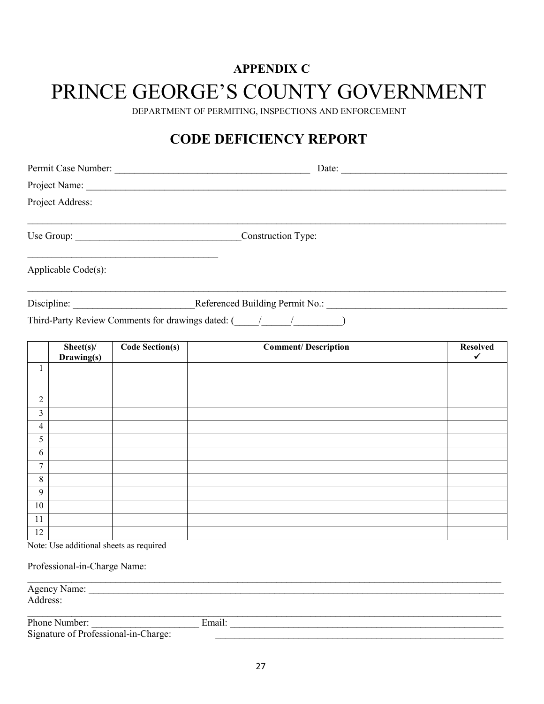# **APPENDIX C**

# PRINCE GEORGE'S COUNTY GOVERNMENT

DEPARTMENT OF PERMITING, INSPECTIONS AND ENFORCEMENT

# **CODE DEFICIENCY REPORT**

|                               | Project Address:                        |                        |                                                              |                      |
|-------------------------------|-----------------------------------------|------------------------|--------------------------------------------------------------|----------------------|
| Use Group: Construction Type: |                                         |                        |                                                              |                      |
|                               | Applicable Code(s):                     |                        |                                                              |                      |
|                               |                                         |                        | Discipline: Referenced Building Permit No.:                  |                      |
|                               |                                         |                        | Third-Party Review Comments for drawings dated: (1/1/2/2020) |                      |
|                               | Sheet(s)<br>Drawing(s)                  | <b>Code Section(s)</b> | <b>Comment/Description</b>                                   | <b>Resolved</b><br>✓ |
| $\mathbf{1}$                  |                                         |                        |                                                              |                      |
| $\overline{2}$                |                                         |                        |                                                              |                      |
| $\overline{3}$                |                                         |                        |                                                              |                      |
| $\overline{4}$                |                                         |                        |                                                              |                      |
| $\overline{5}$                |                                         |                        |                                                              |                      |
| 6                             |                                         |                        |                                                              |                      |
| $\overline{7}$                |                                         |                        |                                                              |                      |
| $\overline{8}$                |                                         |                        |                                                              |                      |
| 9                             |                                         |                        |                                                              |                      |
| 10                            |                                         |                        |                                                              |                      |
| 11                            |                                         |                        |                                                              |                      |
| $\overline{12}$               | Note: Use additional sheets as required |                        |                                                              |                      |
|                               | Professional-in-Charge Name:            |                        |                                                              |                      |

\_\_\_\_\_\_\_\_\_\_\_\_\_\_\_\_\_\_\_\_\_\_\_\_\_\_\_\_\_\_\_\_\_\_\_\_\_\_\_\_\_\_\_\_\_\_\_\_\_\_\_\_\_\_\_\_\_\_\_\_\_\_\_\_\_\_\_\_\_\_\_\_\_\_\_\_\_\_\_\_\_\_\_\_\_\_\_\_\_\_\_\_\_\_\_\_\_ Agency Name: \_\_\_\_\_\_\_\_\_\_\_\_\_\_\_\_\_\_\_\_\_\_\_\_\_\_\_\_\_\_\_\_\_\_\_\_\_\_\_\_\_\_\_\_\_\_\_\_\_\_\_\_\_\_\_\_\_\_\_\_\_\_\_\_\_\_\_\_\_\_\_\_\_\_\_\_\_\_\_\_\_\_\_\_\_ Address: \_\_\_\_\_\_\_\_\_\_\_\_\_\_\_\_\_\_\_\_\_\_\_\_\_\_\_\_\_\_\_\_\_\_\_\_\_\_\_\_\_\_\_\_\_\_\_\_\_\_\_\_\_\_\_\_\_\_\_\_\_\_\_\_\_\_\_\_\_\_\_\_\_\_\_\_\_\_\_\_\_\_\_\_\_\_\_\_\_\_\_\_\_\_\_\_\_ Phone Number: \_\_\_\_\_\_\_\_\_\_\_\_\_\_\_\_\_\_\_\_\_\_ Email: \_\_\_\_\_\_\_\_\_\_\_\_\_\_\_\_\_\_\_\_\_\_\_\_\_\_\_\_\_\_\_\_\_\_\_\_\_\_\_\_\_\_\_\_\_\_\_\_\_\_\_\_\_\_\_\_ Signature of Professional-in-Charge: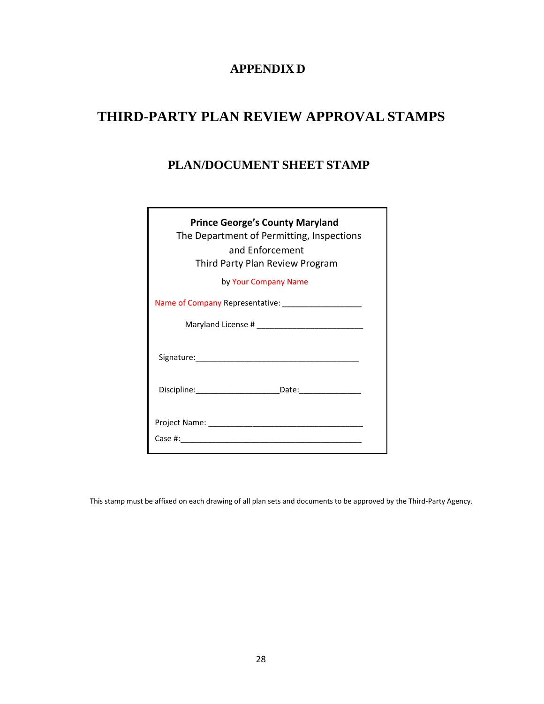## **APPENDIX D**

# **THIRD-PARTY PLAN REVIEW APPROVAL STAMPS**

# **PLAN/DOCUMENT SHEET STAMP**

| <b>Prince George's County Maryland</b><br>The Department of Permitting, Inspections<br>and Enforcement<br>Third Party Plan Review Program |
|-------------------------------------------------------------------------------------------------------------------------------------------|
| by Your Company Name                                                                                                                      |
| Name of Company Representative: ________________________                                                                                  |
|                                                                                                                                           |
|                                                                                                                                           |
| Discipline: _____________________________Date: _________________________________                                                          |
|                                                                                                                                           |
|                                                                                                                                           |
|                                                                                                                                           |

This stamp must be affixed on each drawing of all plan sets and documents to be approved by the Third-Party Agency.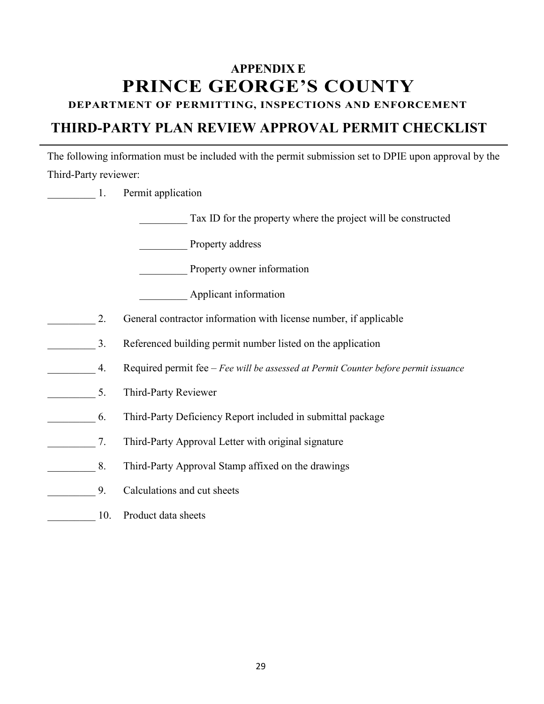# **APPENDIX E PRINCE GEORGE'S COUNTY**

# **DEPARTMENT OF PERMITTING, INSPECTIONS AND ENFORCEMENT**

# **THIRD-PARTY PLAN REVIEW APPROVAL PERMIT CHECKLIST**

The following information must be included with the permit submission set to DPIE upon approval by the Third-Party reviewer:

|     | Permit application                                                                  |  |  |
|-----|-------------------------------------------------------------------------------------|--|--|
|     | Tax ID for the property where the project will be constructed                       |  |  |
|     | Property address                                                                    |  |  |
|     | Property owner information                                                          |  |  |
|     | Applicant information                                                               |  |  |
| 2.  | General contractor information with license number, if applicable                   |  |  |
| 3.  | Referenced building permit number listed on the application                         |  |  |
| 4.  | Required permit fee - Fee will be assessed at Permit Counter before permit issuance |  |  |
| 5.  | Third-Party Reviewer                                                                |  |  |
| 6.  | Third-Party Deficiency Report included in submittal package                         |  |  |
| 7.  | Third-Party Approval Letter with original signature                                 |  |  |
| 8.  | Third-Party Approval Stamp affixed on the drawings                                  |  |  |
| 9.  | Calculations and cut sheets                                                         |  |  |
| 10. | Product data sheets                                                                 |  |  |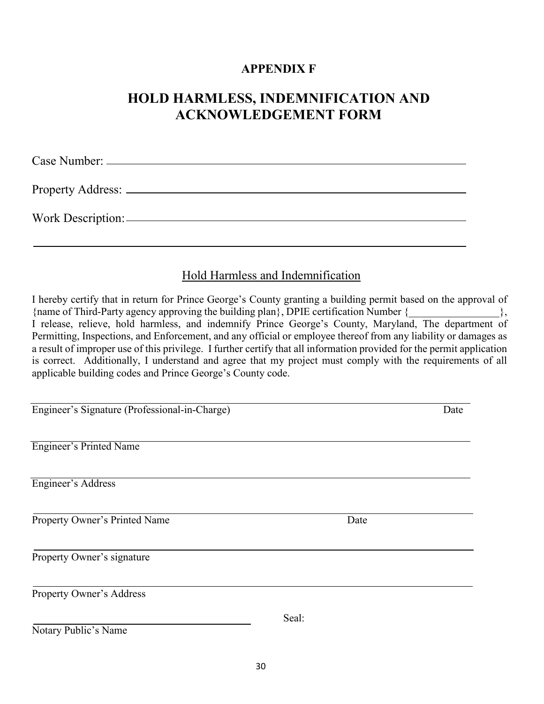# **APPENDIX F**

# **HOLD HARMLESS, INDEMNIFICATION AND ACKNOWLEDGEMENT FORM**

Case Number:

Property Address:

Work Description:

 $\overline{\phantom{a}}$ 

# Hold Harmless and Indemnification

I hereby certify that in return for Prince George's County granting a building permit based on the approval of {name of Third-Party agency approving the building plan}, DPIE certification Number  $\{$ , I release, relieve, hold harmless, and indemnify Prince George's County, Maryland, The department of Permitting, Inspections, and Enforcement, and any official or employee thereof from any liability or damages as a result of improper use of this privilege. I further certify that all information provided for the permit application is correct. Additionally, I understand and agree that my project must comply with the requirements of all applicable building codes and Prince George's County code.

Engineer's Signature (Professional-in-Charge) Date Engineer's Printed Name Engineer's Address Property Owner's Printed Name Date Property Owner's signature Property Owner's Address Seal: Notary Public's Name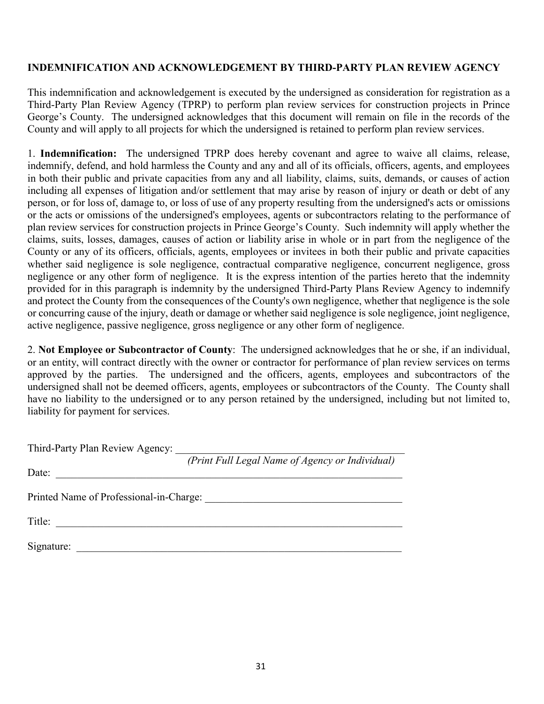### **INDEMNIFICATION AND ACKNOWLEDGEMENT BY THIRD-PARTY PLAN REVIEW AGENCY**

This indemnification and acknowledgement is executed by the undersigned as consideration for registration as a Third-Party Plan Review Agency (TPRP) to perform plan review services for construction projects in Prince George's County. The undersigned acknowledges that this document will remain on file in the records of the County and will apply to all projects for which the undersigned is retained to perform plan review services.

1. **Indemnification:** The undersigned TPRP does hereby covenant and agree to waive all claims, release, indemnify, defend, and hold harmless the County and any and all of its officials, officers, agents, and employees in both their public and private capacities from any and all liability, claims, suits, demands, or causes of action including all expenses of litigation and/or settlement that may arise by reason of injury or death or debt of any person, or for loss of, damage to, or loss of use of any property resulting from the undersigned's acts or omissions or the acts or omissions of the undersigned's employees, agents or subcontractors relating to the performance of plan review services for construction projects in Prince George's County. Such indemnity will apply whether the claims, suits, losses, damages, causes of action or liability arise in whole or in part from the negligence of the County or any of its officers, officials, agents, employees or invitees in both their public and private capacities whether said negligence is sole negligence, contractual comparative negligence, concurrent negligence, gross negligence or any other form of negligence. It is the express intention of the parties hereto that the indemnity provided for in this paragraph is indemnity by the undersigned Third-Party Plans Review Agency to indemnify and protect the County from the consequences of the County's own negligence, whether that negligence is the sole or concurring cause of the injury, death or damage or whether said negligence is sole negligence, joint negligence, active negligence, passive negligence, gross negligence or any other form of negligence.

2. **Not Employee or Subcontractor of County**: The undersigned acknowledges that he or she, if an individual, or an entity, will contract directly with the owner or contractor for performance of plan review services on terms approved by the parties. The undersigned and the officers, agents, employees and subcontractors of the undersigned shall not be deemed officers, agents, employees or subcontractors of the County. The County shall have no liability to the undersigned or to any person retained by the undersigned, including but not limited to, liability for payment for services.

| Third-Party Plan Review Agency:         |                                                 |
|-----------------------------------------|-------------------------------------------------|
|                                         | (Print Full Legal Name of Agency or Individual) |
| Date:                                   |                                                 |
| Printed Name of Professional-in-Charge: |                                                 |
| Title:                                  |                                                 |
| Signature:                              |                                                 |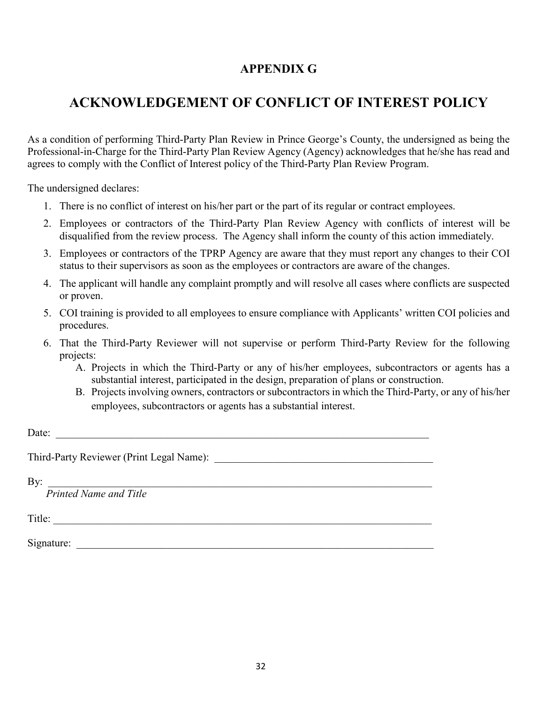# **APPENDIX G**

# **ACKNOWLEDGEMENT OF CONFLICT OF INTEREST POLICY**

As a condition of performing Third-Party Plan Review in Prince George's County, the undersigned as being the Professional-in-Charge for the Third-Party Plan Review Agency (Agency) acknowledges that he/she has read and agrees to comply with the Conflict of Interest policy of the Third-Party Plan Review Program.

The undersigned declares:

- 1. There is no conflict of interest on his/her part or the part of its regular or contract employees.
- 2. Employees or contractors of the Third-Party Plan Review Agency with conflicts of interest will be disqualified from the review process. The Agency shall inform the county of this action immediately.
- 3. Employees or contractors of the TPRP Agency are aware that they must report any changes to their COI status to their supervisors as soon as the employees or contractors are aware of the changes.
- 4. The applicant will handle any complaint promptly and will resolve all cases where conflicts are suspected or proven.
- 5. COI training is provided to all employees to ensure compliance with Applicants' written COI policies and procedures.
- 6. That the Third-Party Reviewer will not supervise or perform Third-Party Review for the following projects:
	- A. Projects in which the Third-Party or any of his/her employees, subcontractors or agents has a substantial interest, participated in the design, preparation of plans or construction.
	- B. Projects involving owners, contractors or subcontractors in which the Third-Party, or any of his/her employees, subcontractors or agents has a substantial interest.

Date: \_\_\_\_\_\_\_\_\_\_\_\_\_\_\_\_\_\_\_\_\_\_\_\_\_\_\_\_\_\_\_\_\_\_\_\_\_\_\_\_\_\_\_\_\_\_\_\_\_\_\_\_\_\_\_\_\_\_\_\_\_\_\_\_\_\_\_\_\_\_

Third-Party Reviewer (Print Legal Name): \_\_\_\_\_\_\_\_\_\_\_\_\_\_\_\_\_\_\_\_\_\_\_\_\_\_\_\_\_\_\_\_\_\_\_\_\_\_\_\_\_

 $\text{By:}\quad$ 

*Printed Name and Title*

Title:

 $Signature:$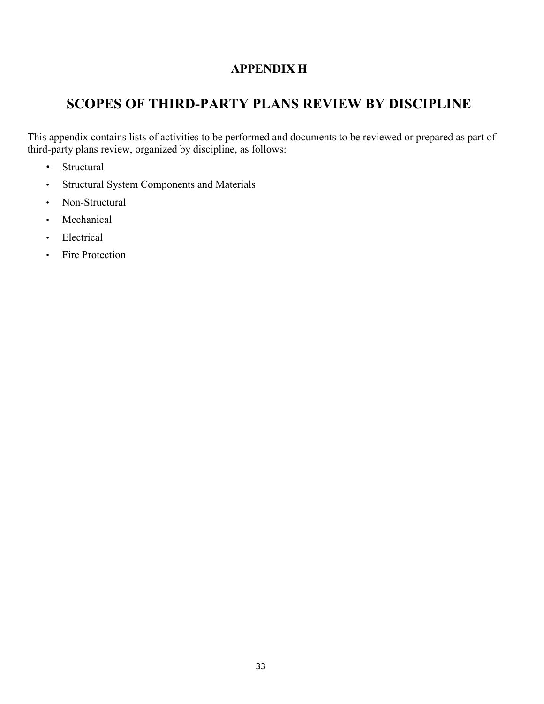# **APPENDIX H**

# **SCOPES OF THIRD-PARTY PLANS REVIEW BY DISCIPLINE**

This appendix contains lists of activities to be performed and documents to be reviewed or prepared as part of third-party plans review, organized by discipline, as follows:

- Structural
- Structural System Components and Materials
- Non-Structural
- Mechanical
- Electrical
- Fire Protection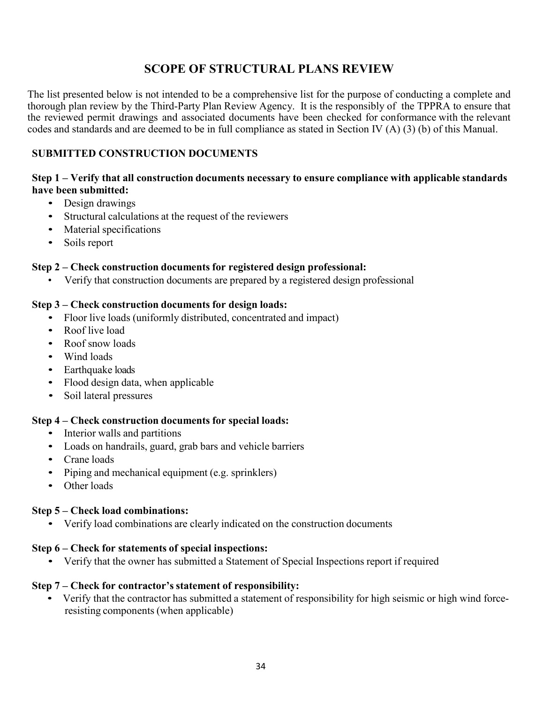# **SCOPE OF STRUCTURAL PLANS REVIEW**

The list presented below is not intended to be a comprehensive list for the purpose of conducting a complete and thorough plan review by the Third-Party Plan Review Agency. It is the responsibly of the TPPRA to ensure that the reviewed permit drawings and associated documents have been checked for conformance with the relevant codes and standards and are deemed to be in full compliance as stated in Section IV (A) (3) (b) of this Manual.

### **SUBMITTED CONSTRUCTION DOCUMENTS**

#### **Step 1 – Verify that all construction documents necessary to ensure compliance with applicable standards have been submitted:**

- Design drawings
- Structural calculations at the request of the reviewers
- Material specifications
- Soils report

#### **Step 2 – Check construction documents for registered design professional:**

• Verify that construction documents are prepared by a registered design professional

#### **Step 3 – Check construction documents for design loads:**

- Floor live loads (uniformly distributed, concentrated and impact)
- Roof live load
- Roof snow loads
- Wind loads
- Earthquake loads
- Flood design data, when applicable
- Soil lateral pressures

### **Step 4 – Check construction documents for special loads:**

- Interior walls and partitions
- Loads on handrails, guard, grab bars and vehicle barriers
- Crane loads
- Piping and mechanical equipment (e.g. sprinklers)
- Other loads

### **Step 5 – Check load combinations:**

• Verify load combinations are clearly indicated on the construction documents

### **Step 6 – Check for statements of special inspections:**

• Verify that the owner has submitted a Statement of Special Inspections report if required

### **Step 7 – Check for contractor's statement of responsibility:**

• Verify that the contractor has submitted a statement of responsibility for high seismic or high wind force resisting components (when applicable)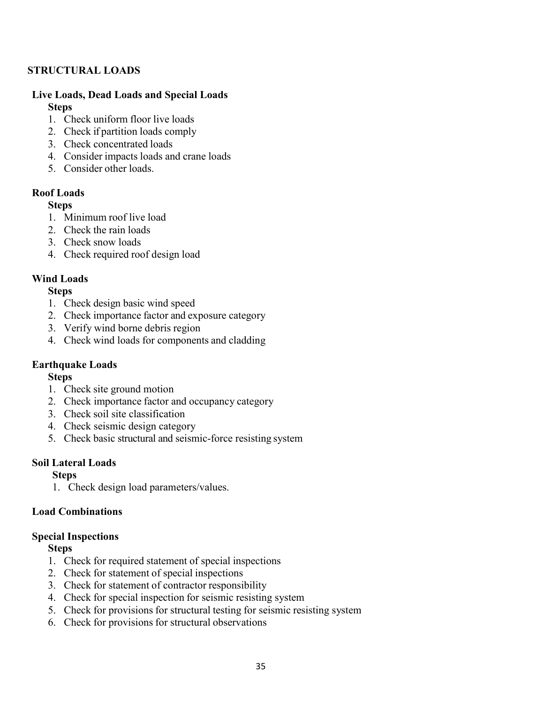### **STRUCTURAL LOADS**

#### **Live Loads, Dead Loads and Special Loads Steps**

- 1. Check uniform floor live loads
- 2. Check if partition loads comply
- 3. Check concentrated loads
- 4. Consider impacts loads and crane loads
- 5. Consider other loads.

### **Roof Loads**

### **Steps**

- 1. Minimum roof live load
- 2. Check the rain loads
- 3. Check snow loads
- 4. Check required roof design load

## **Wind Loads**

### **Steps**

- 1. Check design basic wind speed
- 2. Check importance factor and exposure category
- 3. Verify wind borne debris region
- 4. Check wind loads for components and cladding

## **Earthquake Loads**

### **Steps**

- 1. Check site ground motion
- 2. Check importance factor and occupancy category
- 3. Check soil site classification
- 4. Check seismic design category
- 5. Check basic structural and seismic-force resisting system

## **Soil Lateral Loads**

## **Steps**

1. Check design load parameters/values.

### **Load Combinations**

### **Special Inspections**

### **Steps**

- 1. Check for required statement of special inspections
- 2. Check for statement of special inspections
- 3. Check for statement of contractor responsibility
- 4. Check for special inspection for seismic resisting system
- 5. Check for provisions for structural testing for seismic resisting system
- 6. Check for provisions for structural observations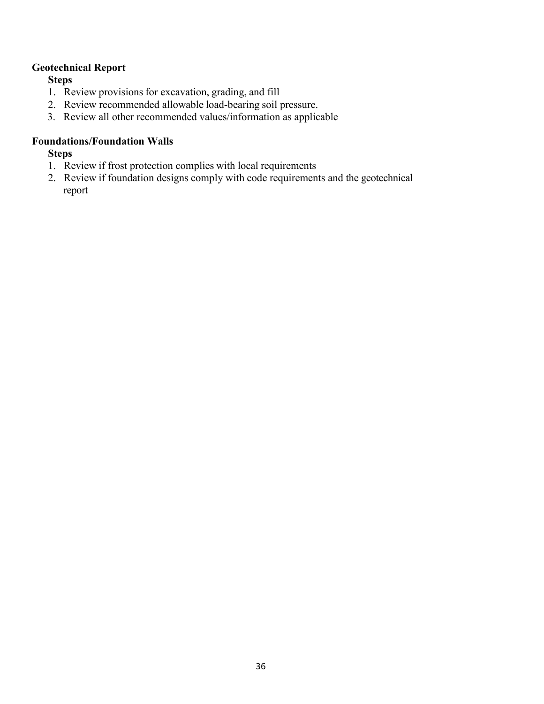## **Geotechnical Report**

**Steps**

- 1. Review provisions for excavation, grading, and fill
- 2. Review recommended allowable load-bearing soil pressure.
- 3. Review all other recommended values/information as applicable

#### **Foundations/Foundation Walls**

#### **Steps**

- 1. Review if frost protection complies with local requirements
- 2. Review if foundation designs comply with code requirements and the geotechnical report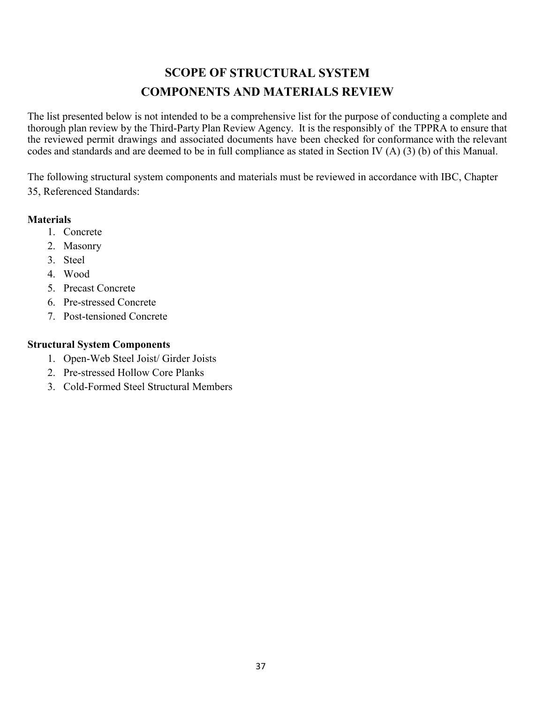# **SCOPE OF STRUCTURAL SYSTEM COMPONENTS AND MATERIALS REVIEW**

The list presented below is not intended to be a comprehensive list for the purpose of conducting a complete and thorough plan review by the Third-Party Plan Review Agency. It is the responsibly of the TPPRA to ensure that the reviewed permit drawings and associated documents have been checked for conformance with the relevant codes and standards and are deemed to be in full compliance as stated in Section IV (A) (3) (b) of this Manual.

The following structural system components and materials must be reviewed in accordance with IBC, Chapter 35, Referenced Standards:

### **Materials**

- 1. Concrete
- 2. Masonry
- 3. Steel
- 4. Wood
- 5. Precast Concrete
- 6. Pre-stressed Concrete
- 7. Post-tensioned Concrete

### **Structural System Components**

- 1. Open-Web Steel Joist/ Girder Joists
- 2. Pre-stressed Hollow Core Planks
- 3. Cold-Formed Steel Structural Members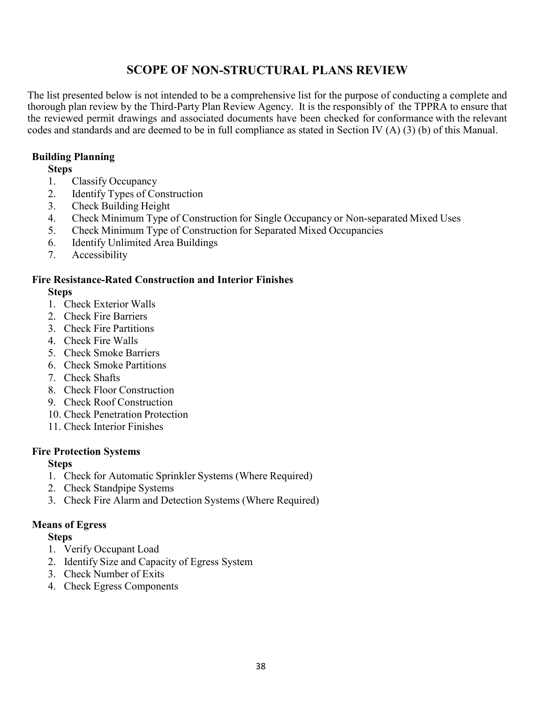# **SCOPE OF NON-STRUCTURAL PLANS REVIEW**

The list presented below is not intended to be a comprehensive list for the purpose of conducting a complete and thorough plan review by the Third-Party Plan Review Agency. It is the responsibly of the TPPRA to ensure that the reviewed permit drawings and associated documents have been checked for conformance with the relevant codes and standards and are deemed to be in full compliance as stated in Section IV (A) (3) (b) of this Manual.

## **Building Planning**

### **Steps**

- 1. Classify Occupancy
- 2. Identify Types of Construction
- 3. Check Building Height
- 4. Check Minimum Type of Construction for Single Occupancy or Non-separated Mixed Uses
- 5. Check Minimum Type of Construction for Separated Mixed Occupancies
- 6. Identify Unlimited Area Buildings
- 7. Accessibility

# **Fire Resistance-Rated Construction and Interior Finishes**

# **Steps**

- 1. Check Exterior Walls
- 2. Check Fire Barriers
- 3. Check Fire Partitions
- 4. Check Fire Walls
- 5. Check Smoke Barriers
- 6. Check Smoke Partitions
- 7. Check Shafts
- 8. Check Floor Construction
- 9. Check Roof Construction
- 10. Check Penetration Protection
- 11. Check Interior Finishes

## **Fire Protection Systems**

## **Steps**

- 1. Check for Automatic Sprinkler Systems (Where Required)
- 2. Check Standpipe Systems
- 3. Check Fire Alarm and Detection Systems (Where Required)

## **Means of Egress**

## **Steps**

- 1. Verify Occupant Load
- 2. Identify Size and Capacity of Egress System
- 3. Check Number of Exits
- 4. Check Egress Components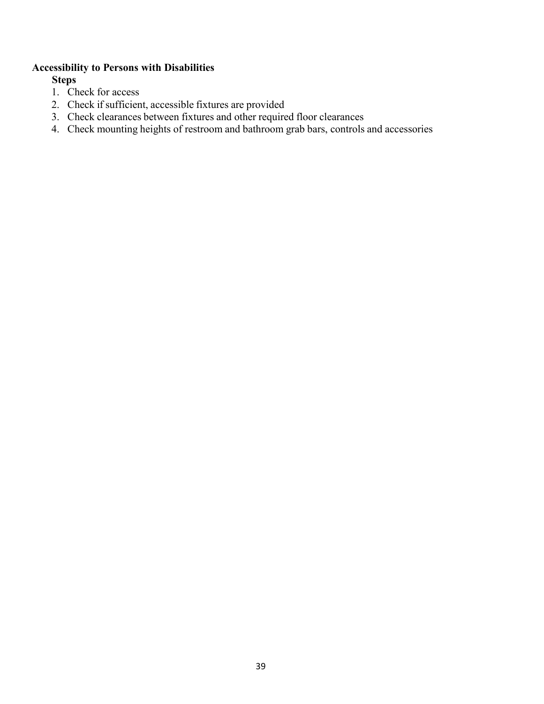### **Accessibility to Persons with Disabilities**

**Steps**

- 1. Check for access
- 2. Check if sufficient, accessible fixtures are provided
- 3. Check clearances between fixtures and other required floor clearances
- 4. Check mounting heights of restroom and bathroom grab bars, controls and accessories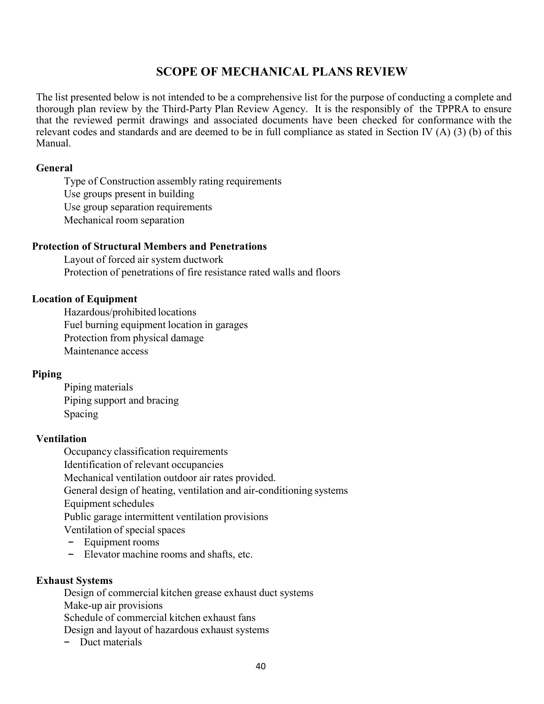# **SCOPE OF MECHANICAL PLANS REVIEW**

The list presented below is not intended to be a comprehensive list for the purpose of conducting a complete and thorough plan review by the Third-Party Plan Review Agency. It is the responsibly of the TPPRA to ensure that the reviewed permit drawings and associated documents have been checked for conformance with the relevant codes and standards and are deemed to be in full compliance as stated in Section IV (A) (3) (b) of this Manual.

#### **General**

Type of Construction assembly rating requirements Use groups present in building Use group separation requirements Mechanical room separation

#### **Protection of Structural Members and Penetrations**

Layout of forced air system ductwork Protection of penetrations of fire resistance rated walls and floors

### **Location of Equipment**

Hazardous/prohibited locations Fuel burning equipment location in garages Protection from physical damage Maintenance access

### **Piping**

Piping materials Piping support and bracing Spacing

#### **Ventilation**

Occupancy classification requirements Identification of relevant occupancies Mechanical ventilation outdoor air rates provided. General design of heating, ventilation and air-conditioning systems Equipment schedules Public garage intermittent ventilation provisions Ventilation of special spaces − Equipment rooms

− Elevator machine rooms and shafts, etc.

#### **Exhaust Systems**

Design of commercial kitchen grease exhaust duct systems Make-up air provisions Schedule of commercial kitchen exhaust fans Design and layout of hazardous exhaust systems − Duct materials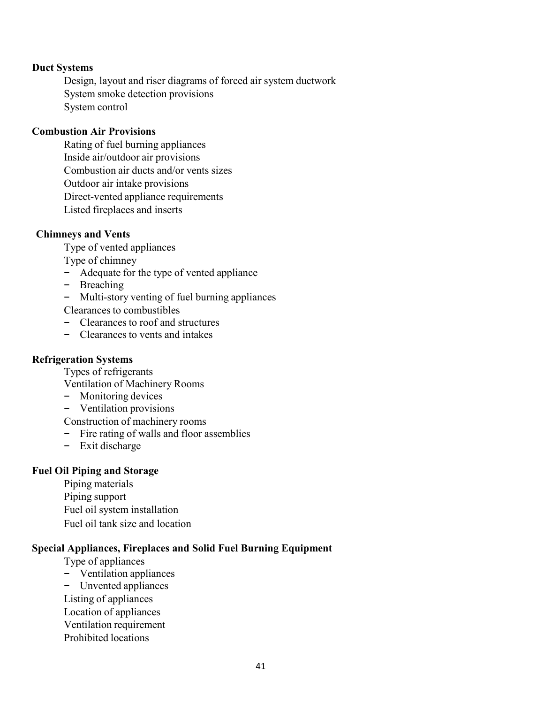#### **Duct Systems**

Design, layout and riser diagrams of forced air system ductwork System smoke detection provisions System control

#### **Combustion Air Provisions**

Rating of fuel burning appliances Inside air/outdoor air provisions Combustion air ducts and/or vents sizes Outdoor air intake provisions Direct-vented appliance requirements Listed fireplaces and inserts

#### **Chimneys and Vents**

Type of vented appliances

- Type of chimney
- − Adequate for the type of vented appliance
- − Breaching
- − Multi-story venting of fuel burning appliances

Clearances to combustibles

- − Clearances to roof and structures
- − Clearances to vents and intakes

### **Refrigeration Systems**

Types of refrigerants

Ventilation of Machinery Rooms

- − Monitoring devices
- − Ventilation provisions

Construction of machinery rooms

- − Fire rating of walls and floor assemblies
- − Exit discharge

#### **Fuel Oil Piping and Storage**

Piping materials Piping support Fuel oil system installation Fuel oil tank size and location

#### **Special Appliances, Fireplaces and Solid Fuel Burning Equipment**

Type of appliances

- − Ventilation appliances
- − Unvented appliances
- Listing of appliances
- Location of appliances
- Ventilation requirement
- Prohibited locations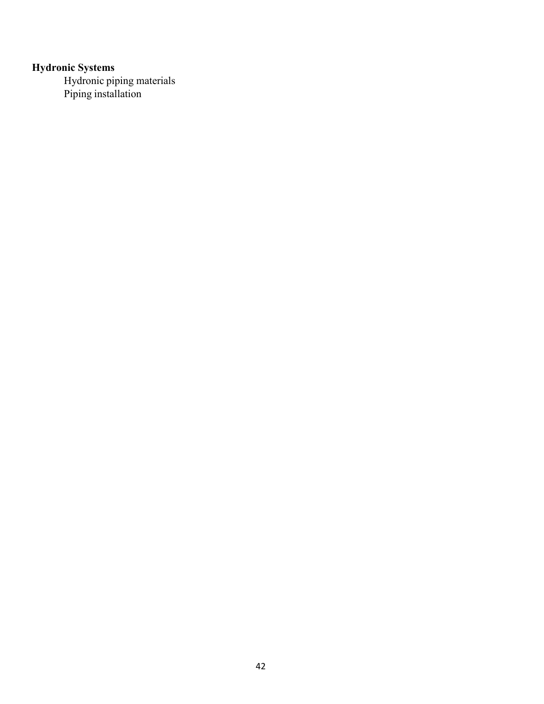#### **Hydronic Systems**

Hydronic piping materials Piping installation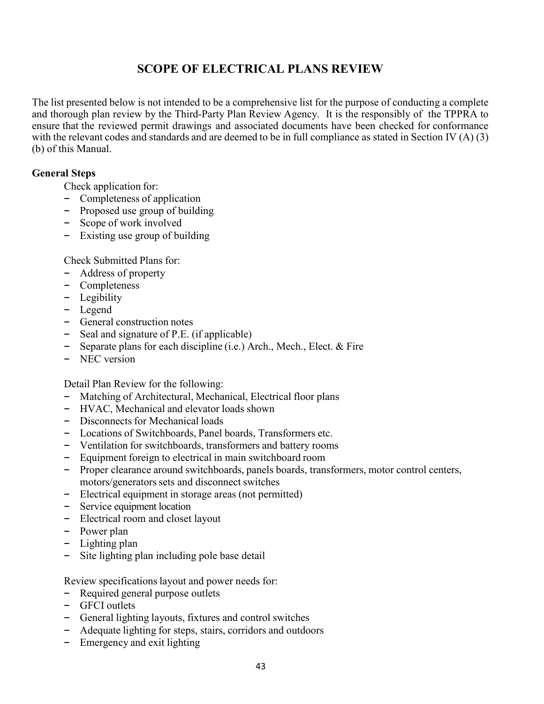# **SCOPE OF ELECTRICAL PLANS REVIEW**

The list presented below is not intended to be a comprehensive list for the purpose of conducting a complete and thorough plan review by the Third-Party Plan Review Agency. It is the responsibly of the TPPRA to ensure that the reviewed permit drawings and associated documents have been checked for conformance with the relevant codes and standards and are deemed to be in full compliance as stated in Section IV (A) (3) (b) of this Manual.

#### **General Steps**

Check application for:

- − Completeness of application
- − Proposed use group of building
- − Scope of work involved
- − Existing use group of building

Check Submitted Plans for:

- − Address of property
- − Completeness
- − Legibility
- − Legend
- − General construction notes
- − Seal and signature of P.E. (if applicable)
- Separate plans for each discipline (i.e.) Arch., Mech., Elect. & Fire
- − NEC version

Detail Plan Review for the following:

- − Matching of Architectural, Mechanical, Electrical floor plans
- − HVAC, Mechanical and elevator loads shown
- − Disconnects for Mechanical loads
- − Locations of Switchboards, Panel boards, Transformers etc.
- − Ventilation for switchboards, transformers and battery rooms
- − Equipment foreign to electrical in main switchboard room
- − Proper clearance around switchboards, panels boards, transformers, motor control centers, motors/generators sets and disconnect switches
- − Electrical equipment in storage areas (not permitted)
- − Service equipment location
- − Electrical room and closet layout
- − Power plan
- − Lighting plan
- − Site lighting plan including pole base detail

Review specifications layout and power needs for:

- − Required general purpose outlets
- − GFCI outlets
- − General lighting layouts, fixtures and control switches
- − Adequate lighting for steps, stairs, corridors and outdoors
- − Emergency and exit lighting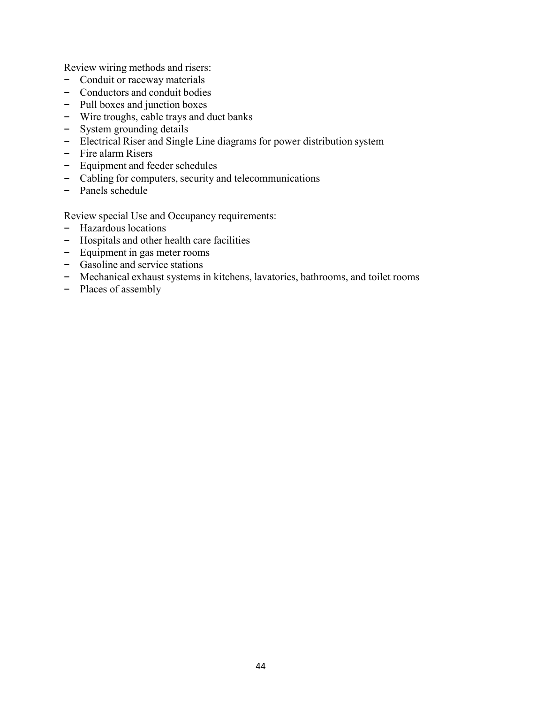Review wiring methods and risers:

- − Conduit or raceway materials
- − Conductors and conduit bodies
- − Pull boxes and junction boxes
- − Wire troughs, cable trays and duct banks
- − System grounding details
- − Electrical Riser and Single Line diagrams for power distribution system
- − Fire alarm Risers
- − Equipment and feeder schedules
- − Cabling for computers, security and telecommunications
- − Panels schedule

Review special Use and Occupancy requirements:

- − Hazardous locations
- − Hospitals and other health care facilities
- − Equipment in gas meter rooms
- − Gasoline and service stations
- − Mechanical exhaust systems in kitchens, lavatories, bathrooms, and toilet rooms
- − Places of assembly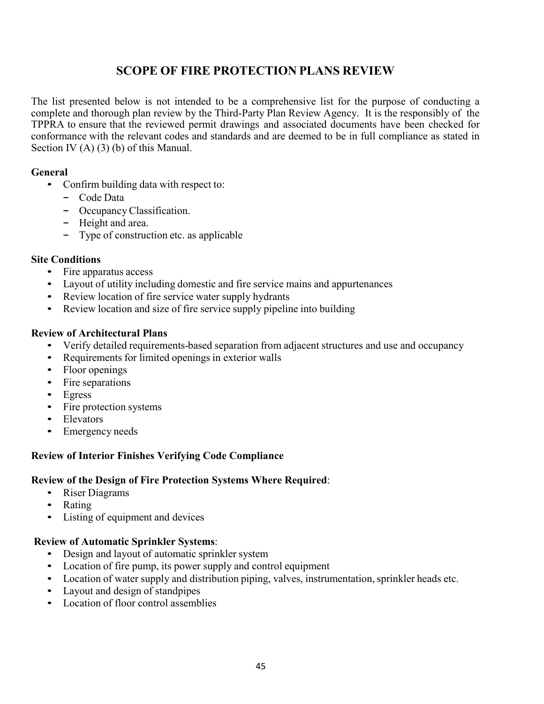# **SCOPE OF FIRE PROTECTION PLANS REVIEW**

The list presented below is not intended to be a comprehensive list for the purpose of conducting a complete and thorough plan review by the Third-Party Plan Review Agency. It is the responsibly of the TPPRA to ensure that the reviewed permit drawings and associated documents have been checked for conformance with the relevant codes and standards and are deemed to be in full compliance as stated in Section IV (A) (3) (b) of this Manual.

### **General**

- Confirm building data with respect to:
	- − Code Data
	- − Occupancy Classification.
	- − Height and area.
	- − Type of construction etc. as applicable

#### **Site Conditions**

- Fire apparatus access
- Layout of utility including domestic and fire service mains and appurtenances
- Review location of fire service water supply hydrants
- Review location and size of fire service supply pipeline into building

#### **Review of Architectural Plans**

- Verify detailed requirements-based separation from adjacent structures and use and occupancy
- Requirements for limited openings in exterior walls
- Floor openings
- Fire separations
- Egress
- Fire protection systems
- Elevators
- Emergency needs

### **Review of Interior Finishes Verifying Code Compliance**

#### **Review of the Design of Fire Protection Systems Where Required**:

- Riser Diagrams
- Rating
- Listing of equipment and devices

#### **Review of Automatic Sprinkler Systems**:

- Design and layout of automatic sprinkler system
- Location of fire pump, its power supply and control equipment
- Location of water supply and distribution piping, valves, instrumentation, sprinkler heads etc.
- Layout and design of standpipes
- Location of floor control assemblies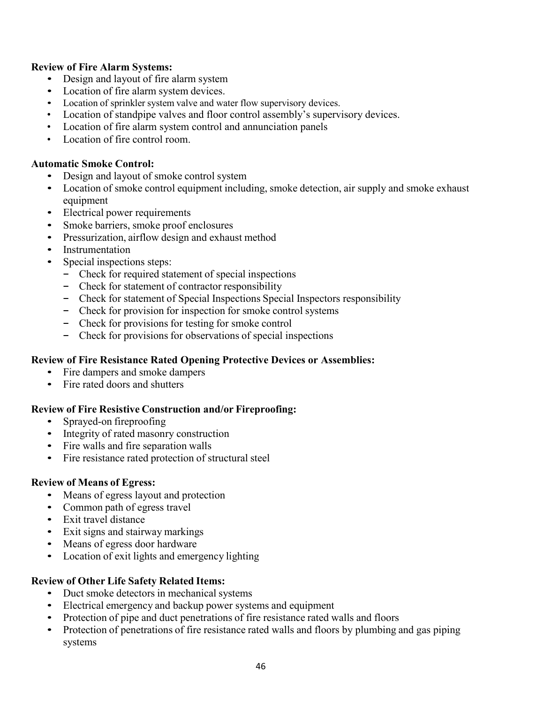### **Review of Fire Alarm Systems:**

- Design and layout of fire alarm system
- Location of fire alarm system devices.
- Location of sprinkler system valve and water flow supervisory devices.
- Location of standpipe valves and floor control assembly's supervisory devices.
- Location of fire alarm system control and annunciation panels
- Location of fire control room.

### **Automatic Smoke Control:**

- Design and layout of smoke control system
- Location of smoke control equipment including, smoke detection, air supply and smoke exhaust equipment
- Electrical power requirements
- Smoke barriers, smoke proof enclosures
- Pressurization, airflow design and exhaust method
- **Instrumentation**
- Special inspections steps:
	- − Check for required statement of special inspections
	- Check for statement of contractor responsibility
	- − Check for statement of Special Inspections Special Inspectors responsibility
	- − Check for provision for inspection for smoke control systems
	- − Check for provisions for testing for smoke control
	- − Check for provisions for observations of special inspections

### **Review of Fire Resistance Rated Opening Protective Devices or Assemblies:**

- Fire dampers and smoke dampers
- Fire rated doors and shutters

### **Review of Fire Resistive Construction and/or Fireproofing:**

- Sprayed-on fireproofing
- Integrity of rated masonry construction
- Fire walls and fire separation walls
- Fire resistance rated protection of structural steel

### **Review of Means of Egress:**

- Means of egress layout and protection
- Common path of egress travel
- Exit travel distance
- Exit signs and stairway markings
- Means of egress door hardware
- Location of exit lights and emergency lighting

### **Review of Other Life Safety Related Items:**

- Duct smoke detectors in mechanical systems
- Electrical emergency and backup power systems and equipment
- Protection of pipe and duct penetrations of fire resistance rated walls and floors
- Protection of penetrations of fire resistance rated walls and floors by plumbing and gas piping systems